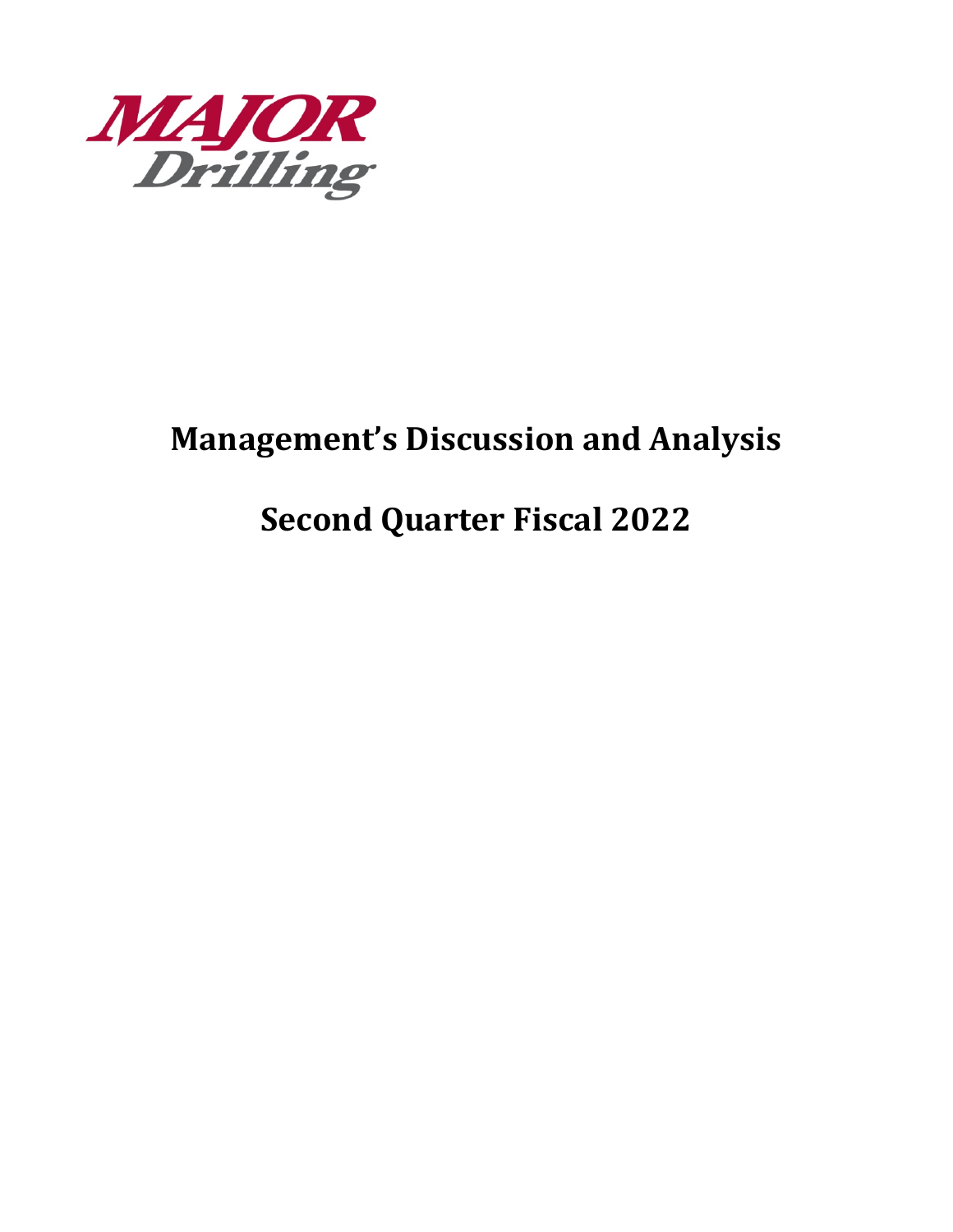

# **Management's Discussion and Analysis**

# **Second Quarter Fiscal 2022**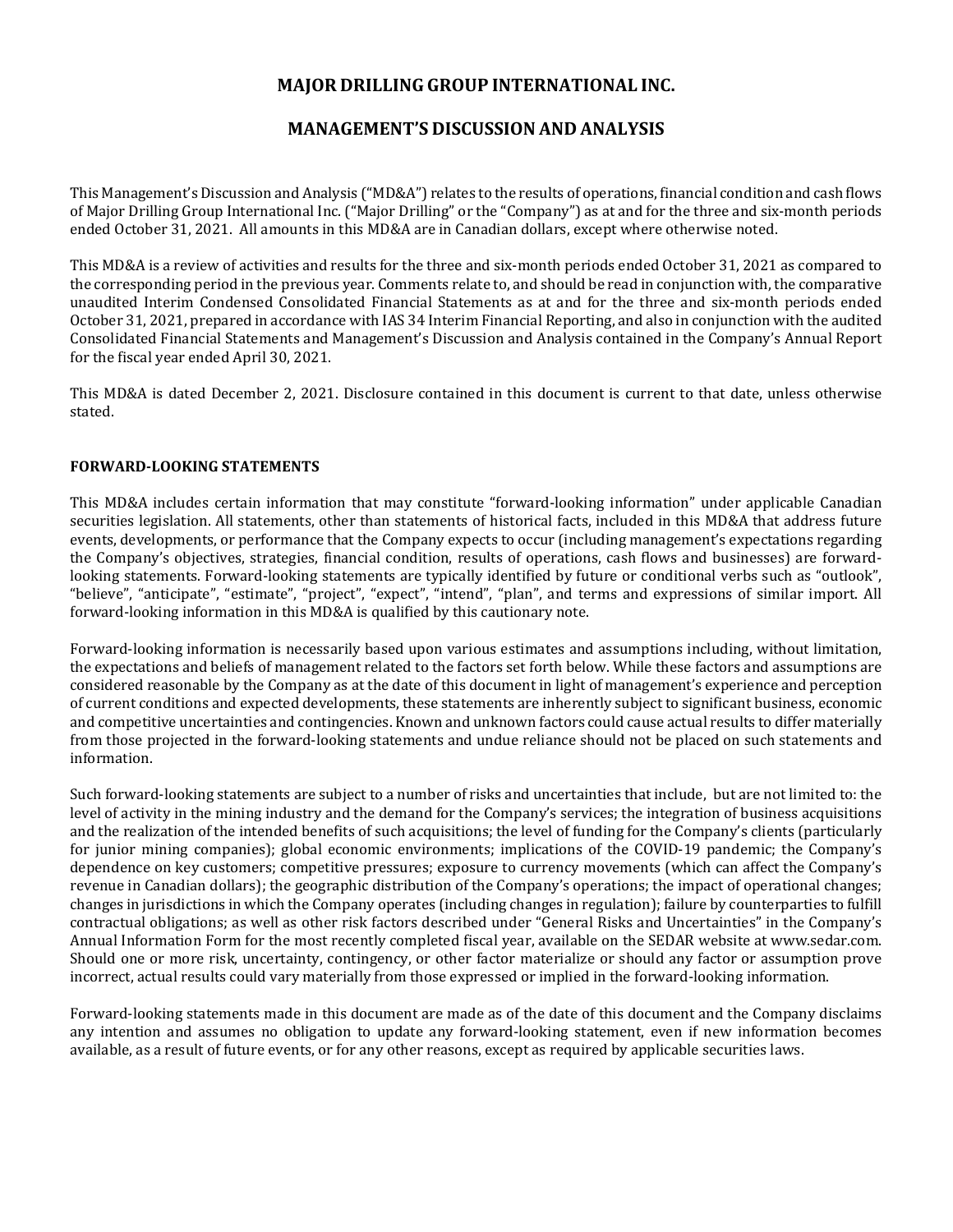# **MAJOR DRILLING GROUP INTERNATIONAL INC.**

# **MANAGEMENT'S DISCUSSION AND ANALYSIS**

This Management's Discussion and Analysis ("MD&A") relates to the results of operations, financial condition and cash flows of Major Drilling Group International Inc. ("Major Drilling" or the "Company") as at and for the three and six-month periods ended October 31, 2021. All amounts in this MD&A are in Canadian dollars, except where otherwise noted.

This MD&A is a review of activities and results for the three and six-month periods ended October 31, 2021 as compared to the corresponding period in the previous year. Comments relate to, and should be read in conjunction with, the comparative unaudited Interim Condensed Consolidated Financial Statements as at and for the three and six-month periods ended October 31, 2021, prepared in accordance with IAS 34 Interim Financial Reporting, and also in conjunction with the audited Consolidated Financial Statements and Management's Discussion and Analysis contained in the Company's Annual Report for the fiscal year ended April 30, 2021.

This MD&A is dated December 2, 2021. Disclosure contained in this document is current to that date, unless otherwise stated.

# **FORWARD-LOOKING STATEMENTS**

This MD&A includes certain information that may constitute "forward-looking information" under applicable Canadian securities legislation. All statements, other than statements of historical facts, included in this MD&A that address future events, developments, or performance that the Company expects to occur (including management's expectations regarding the Company's objectives, strategies, financial condition, results of operations, cash flows and businesses) are forwardlooking statements. Forward-looking statements are typically identified by future or conditional verbs such as "outlook", "believe", "anticipate", "estimate", "project", "expect", "intend", "plan", and terms and expressions of similar import. All forward-looking information in this MD&A is qualified by this cautionary note.

Forward-looking information is necessarily based upon various estimates and assumptions including, without limitation, the expectations and beliefs of management related to the factors set forth below. While these factors and assumptions are considered reasonable by the Company as at the date of this document in light of management's experience and perception of current conditions and expected developments, these statements are inherently subject to significant business, economic and competitive uncertainties and contingencies. Known and unknown factors could cause actual results to differ materially from those projected in the forward-looking statements and undue reliance should not be placed on such statements and information.

Such forward-looking statements are subject to a number of risks and uncertainties that include, but are not limited to: the level of activity in the mining industry and the demand for the Company's services; the integration of business acquisitions and the realization of the intended benefits of such acquisitions; the level of funding for the Company's clients (particularly for junior mining companies); global economic environments; implications of the COVID-19 pandemic; the Company's dependence on key customers; competitive pressures; exposure to currency movements (which can affect the Company's revenue in Canadian dollars); the geographic distribution of the Company's operations; the impact of operational changes; changes in jurisdictions in which the Company operates (including changes in regulation); failure by counterparties to fulfill contractual obligations; as well as other risk factors described under "General Risks and Uncertainties" in the Company's Annual Information Form for the most recently completed fiscal year, available on the SEDAR website at www.sedar.com. Should one or more risk, uncertainty, contingency, or other factor materialize or should any factor or assumption prove incorrect, actual results could vary materially from those expressed or implied in the forward-looking information.

Forward-looking statements made in this document are made as of the date of this document and the Company disclaims any intention and assumes no obligation to update any forward-looking statement, even if new information becomes available, as a result of future events, or for any other reasons, except as required by applicable securities laws.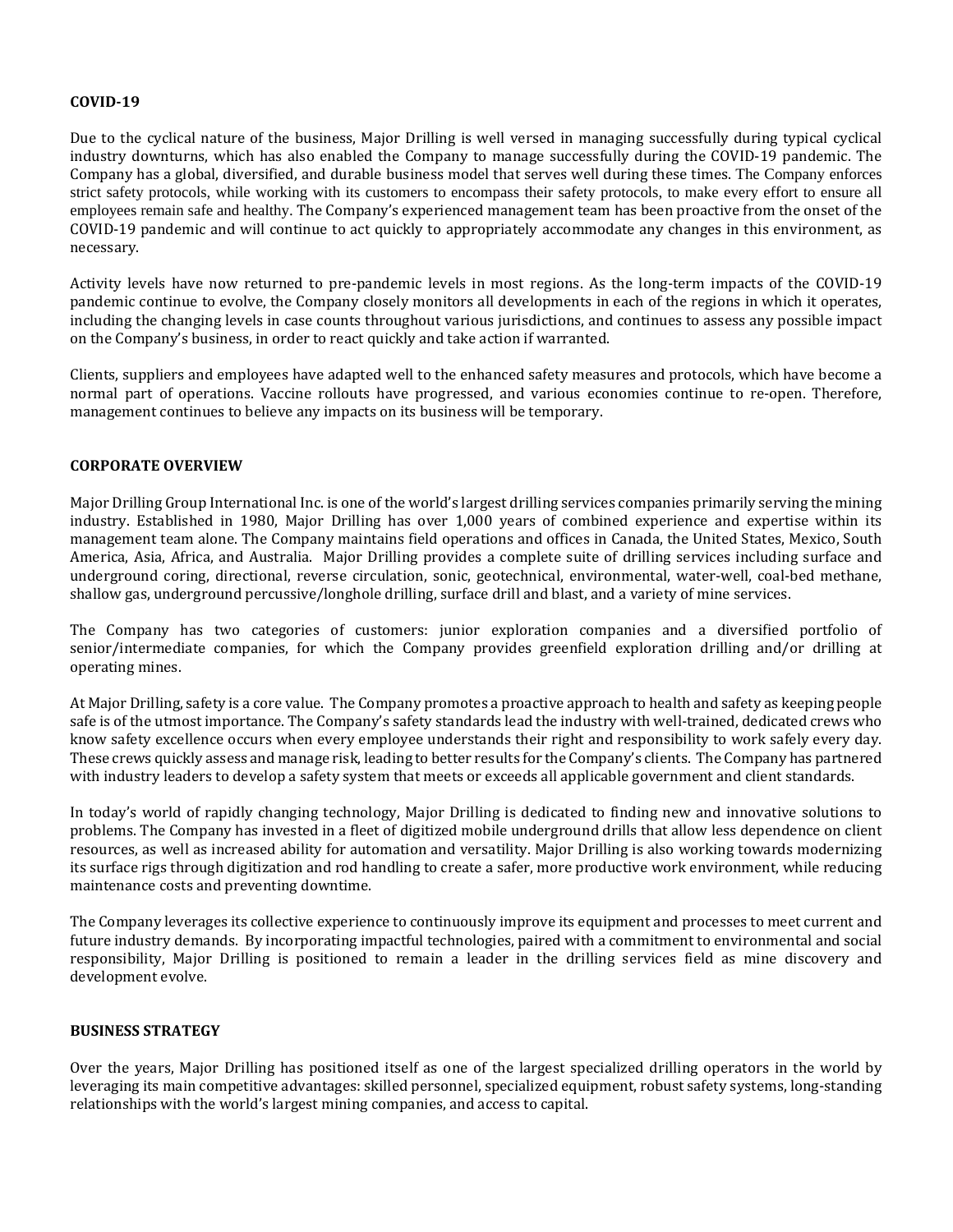### **COVID-19**

Due to the cyclical nature of the business, Major Drilling is well versed in managing successfully during typical cyclical industry downturns, which has also enabled the Company to manage successfully during the COVID-19 pandemic. The Company has a global, diversified, and durable business model that serves well during these times. The Company enforces strict safety protocols, while working with its customers to encompass their safety protocols, to make every effort to ensure all employees remain safe and healthy. The Company's experienced management team has been proactive from the onset of the COVID-19 pandemic and will continue to act quickly to appropriately accommodate any changes in this environment, as necessary.

Activity levels have now returned to pre-pandemic levels in most regions. As the long-term impacts of the COVID-19 pandemic continue to evolve, the Company closely monitors all developments in each of the regions in which it operates, including the changing levels in case counts throughout various jurisdictions, and continues to assess any possible impact on the Company's business, in order to react quickly and take action if warranted.

Clients, suppliers and employees have adapted well to the enhanced safety measures and protocols, which have become a normal part of operations. Vaccine rollouts have progressed, and various economies continue to re-open. Therefore, management continues to believe any impacts on its business will be temporary.

# **CORPORATE OVERVIEW**

Major Drilling Group International Inc. is one of the world's largest drilling services companies primarily serving the mining industry. Established in 1980, Major Drilling has over 1,000 years of combined experience and expertise within its management team alone. The Company maintains field operations and offices in Canada, the United States, Mexico, South America, Asia, Africa, and Australia. Major Drilling provides a complete suite of drilling services including surface and underground coring, directional, reverse circulation, sonic, geotechnical, environmental, water-well, coal-bed methane, shallow gas, underground percussive/longhole drilling, surface drill and blast, and a variety of mine services.

The Company has two categories of customers: junior exploration companies and a diversified portfolio of senior/intermediate companies, for which the Company provides greenfield exploration drilling and/or drilling at operating mines.

At Major Drilling, safety is a core value. The Company promotes a proactive approach to health and safety as keeping people safe is of the utmost importance. The Company's safety standards lead the industry with well-trained, dedicated crews who know safety excellence occurs when every employee understands their right and responsibility to work safely every day. These crews quickly assess and manage risk, leading to better results for the Company's clients. The Company has partnered with industry leaders to develop a safety system that meets or exceeds all applicable government and client standards.

In today's world of rapidly changing technology, Major Drilling is dedicated to finding new and innovative solutions to problems. The Company has invested in a fleet of digitized mobile underground drills that allow less dependence on client resources, as well as increased ability for automation and versatility. Major Drilling is also working towards modernizing its surface rigs through digitization and rod handling to create a safer, more productive work environment, while reducing maintenance costs and preventing downtime.

The Company leverages its collective experience to continuously improve its equipment and processes to meet current and future industry demands. By incorporating impactful technologies, paired with a commitment to environmental and social responsibility, Major Drilling is positioned to remain a leader in the drilling services field as mine discovery and development evolve.

### **BUSINESS STRATEGY**

Over the years, Major Drilling has positioned itself as one of the largest specialized drilling operators in the world by leveraging its main competitive advantages: skilled personnel, specialized equipment, robust safety systems, long-standing relationships with the world's largest mining companies, and access to capital.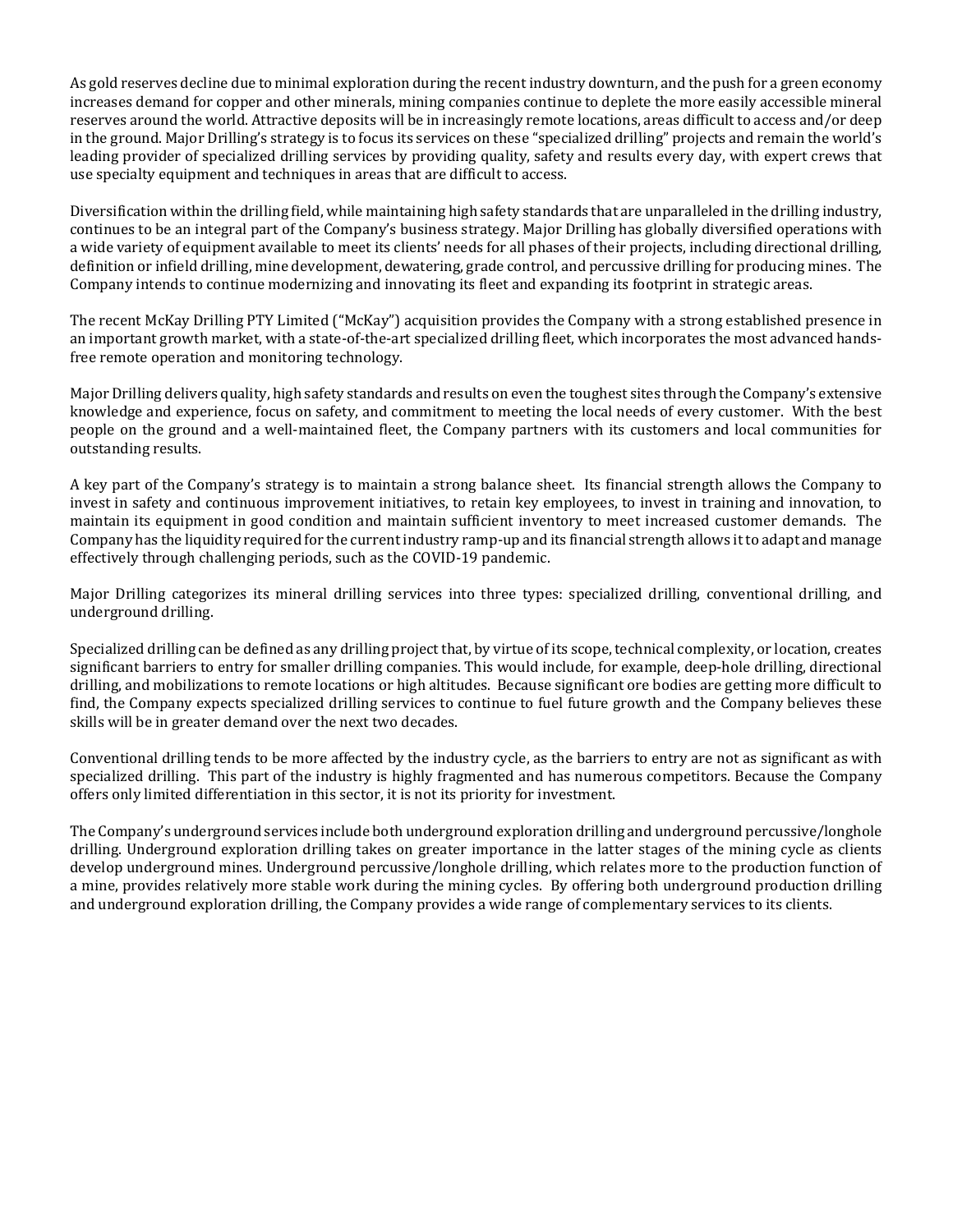As gold reserves decline due to minimal exploration during the recent industry downturn, and the push for a green economy increases demand for copper and other minerals, mining companies continue to deplete the more easily accessible mineral reserves around the world. Attractive deposits will be in increasingly remote locations, areas difficult to access and/or deep in the ground. Major Drilling's strategy is to focus its services on these "specialized drilling" projects and remain the world's leading provider of specialized drilling services by providing quality, safety and results every day, with expert crews that use specialty equipment and techniques in areas that are difficult to access.

Diversification within the drilling field, while maintaining high safety standards that are unparalleled in the drilling industry, continues to be an integral part of the Company's business strategy. Major Drilling has globally diversified operations with a wide variety of equipment available to meet its clients' needs for all phases of their projects, including directional drilling, definition or infield drilling, mine development, dewatering, grade control, and percussive drilling for producing mines. The Company intends to continue modernizing and innovating its fleet and expanding its footprint in strategic areas.

The recent McKay Drilling PTY Limited ("McKay") acquisition provides the Company with a strong established presence in an important growth market, with a state-of-the-art specialized drilling fleet, which incorporates the most advanced handsfree remote operation and monitoring technology.

Major Drilling delivers quality, high safety standards and results on even the toughest sites through the Company's extensive knowledge and experience, focus on safety, and commitment to meeting the local needs of every customer. With the best people on the ground and a well-maintained fleet, the Company partners with its customers and local communities for outstanding results.

A key part of the Company's strategy is to maintain a strong balance sheet. Its financial strength allows the Company to invest in safety and continuous improvement initiatives, to retain key employees, to invest in training and innovation, to maintain its equipment in good condition and maintain sufficient inventory to meet increased customer demands. The Company has the liquidity required for the current industry ramp-up and its financial strength allows it to adapt and manage effectively through challenging periods, such as the COVID-19 pandemic.

Major Drilling categorizes its mineral drilling services into three types: specialized drilling, conventional drilling, and underground drilling.

Specialized drilling can be defined as any drilling project that, by virtue of its scope, technical complexity, or location, creates significant barriers to entry for smaller drilling companies. This would include, for example, deep-hole drilling, directional drilling, and mobilizations to remote locations or high altitudes. Because significant ore bodies are getting more difficult to find, the Company expects specialized drilling services to continue to fuel future growth and the Company believes these skills will be in greater demand over the next two decades.

Conventional drilling tends to be more affected by the industry cycle, as the barriers to entry are not as significant as with specialized drilling. This part of the industry is highly fragmented and has numerous competitors. Because the Company offers only limited differentiation in this sector, it is not its priority for investment.

The Company's underground services include both underground exploration drilling and underground percussive/longhole drilling. Underground exploration drilling takes on greater importance in the latter stages of the mining cycle as clients develop underground mines. Underground percussive/longhole drilling, which relates more to the production function of a mine, provides relatively more stable work during the mining cycles. By offering both underground production drilling and underground exploration drilling, the Company provides a wide range of complementary services to its clients.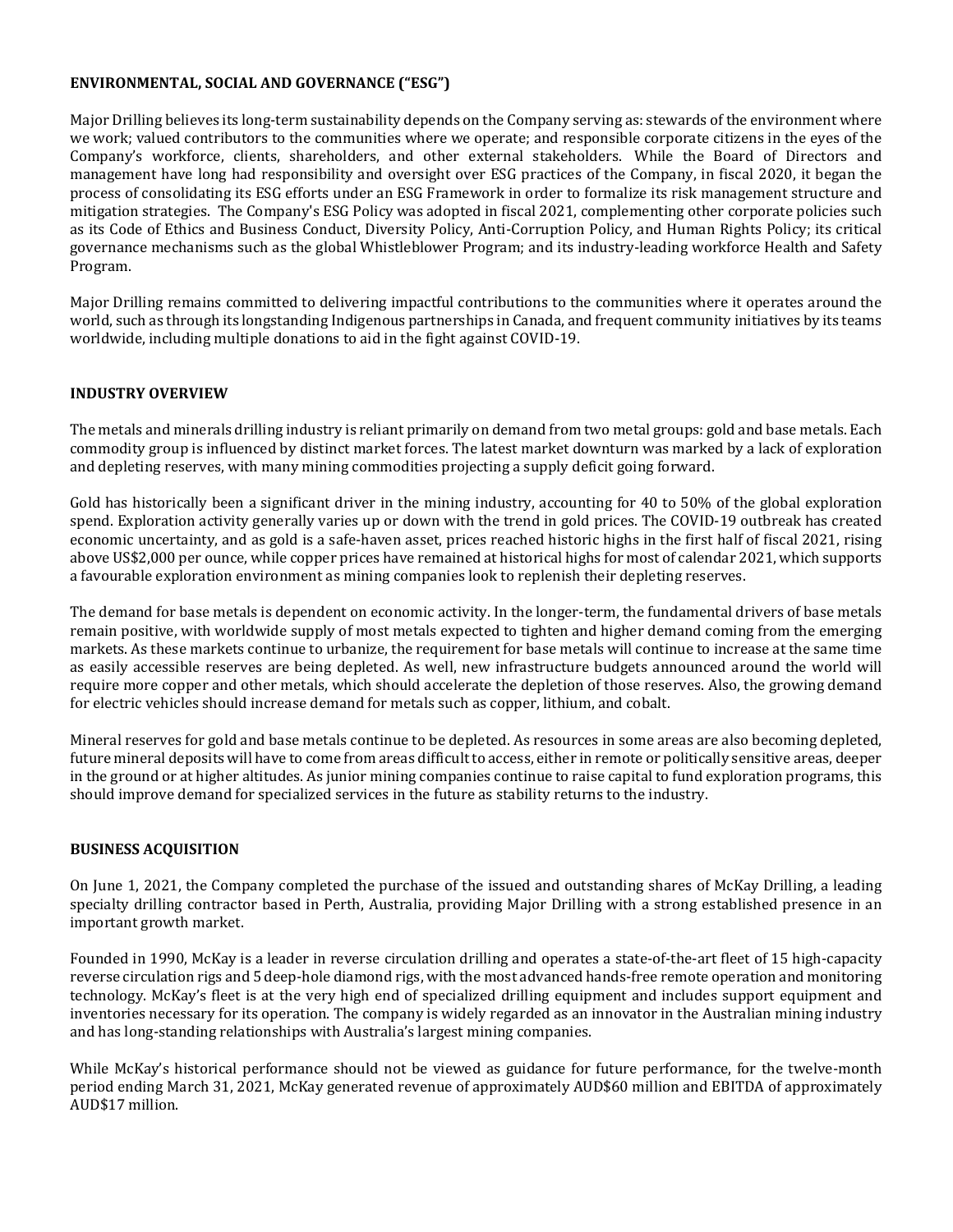# **ENVIRONMENTAL, SOCIAL AND GOVERNANCE ("ESG")**

Major Drilling believes its long-term sustainability depends on the Company serving as: stewards of the environment where we work; valued contributors to the communities where we operate; and responsible corporate citizens in the eyes of the Company's workforce, clients, shareholders, and other external stakeholders. While the Board of Directors and management have long had responsibility and oversight over ESG practices of the Company, in fiscal 2020, it began the process of consolidating its ESG efforts under an ESG Framework in order to formalize its risk management structure and mitigation strategies. The Company's ESG Policy was adopted in fiscal 2021, complementing other corporate policies such as its Code of Ethics and Business Conduct, Diversity Policy, Anti-Corruption Policy, and Human Rights Policy; its critical governance mechanisms such as the global Whistleblower Program; and its industry-leading workforce Health and Safety Program.

Major Drilling remains committed to delivering impactful contributions to the communities where it operates around the world, such as through its longstanding Indigenous partnerships in Canada, and frequent community initiatives by its teams worldwide, including multiple donations to aid in the fight against COVID-19.

# **INDUSTRY OVERVIEW**

The metals and minerals drilling industry is reliant primarily on demand from two metal groups: gold and base metals. Each commodity group is influenced by distinct market forces. The latest market downturn was marked by a lack of exploration and depleting reserves, with many mining commodities projecting a supply deficit going forward.

Gold has historically been a significant driver in the mining industry, accounting for 40 to 50% of the global exploration spend. Exploration activity generally varies up or down with the trend in gold prices. The COVID-19 outbreak has created economic uncertainty, and as gold is a safe-haven asset, prices reached historic highs in the first half of fiscal 2021, rising above US\$2,000 per ounce, while copper prices have remained at historical highs for most of calendar 2021, which supports a favourable exploration environment as mining companies look to replenish their depleting reserves.

The demand for base metals is dependent on economic activity. In the longer-term, the fundamental drivers of base metals remain positive, with worldwide supply of most metals expected to tighten and higher demand coming from the emerging markets. As these markets continue to urbanize, the requirement for base metals will continue to increase at the same time as easily accessible reserves are being depleted. As well, new infrastructure budgets announced around the world will require more copper and other metals, which should accelerate the depletion of those reserves. Also, the growing demand for electric vehicles should increase demand for metals such as copper, lithium, and cobalt.

Mineral reserves for gold and base metals continue to be depleted. As resources in some areas are also becoming depleted, future mineral deposits will have to come from areas difficult to access, either in remote or politically sensitive areas, deeper in the ground or at higher altitudes. As junior mining companies continue to raise capital to fund exploration programs, this should improve demand for specialized services in the future as stability returns to the industry.

### **BUSINESS ACQUISITION**

On June 1, 2021, the Company completed the purchase of the issued and outstanding shares of McKay Drilling, a leading specialty drilling contractor based in Perth, Australia, providing Major Drilling with a strong established presence in an important growth market.

Founded in 1990, McKay is a leader in reverse circulation drilling and operates a state-of-the-art fleet of 15 high-capacity reverse circulation rigs and 5 deep-hole diamond rigs, with the most advanced hands-free remote operation and monitoring technology. McKay's fleet is at the very high end of specialized drilling equipment and includes support equipment and inventories necessary for its operation. The company is widely regarded as an innovator in the Australian mining industry and has long-standing relationships with Australia's largest mining companies.

While McKay's historical performance should not be viewed as guidance for future performance, for the twelve-month period ending March 31, 2021, McKay generated revenue of approximately AUD\$60 million and EBITDA of approximately AUD\$17 million.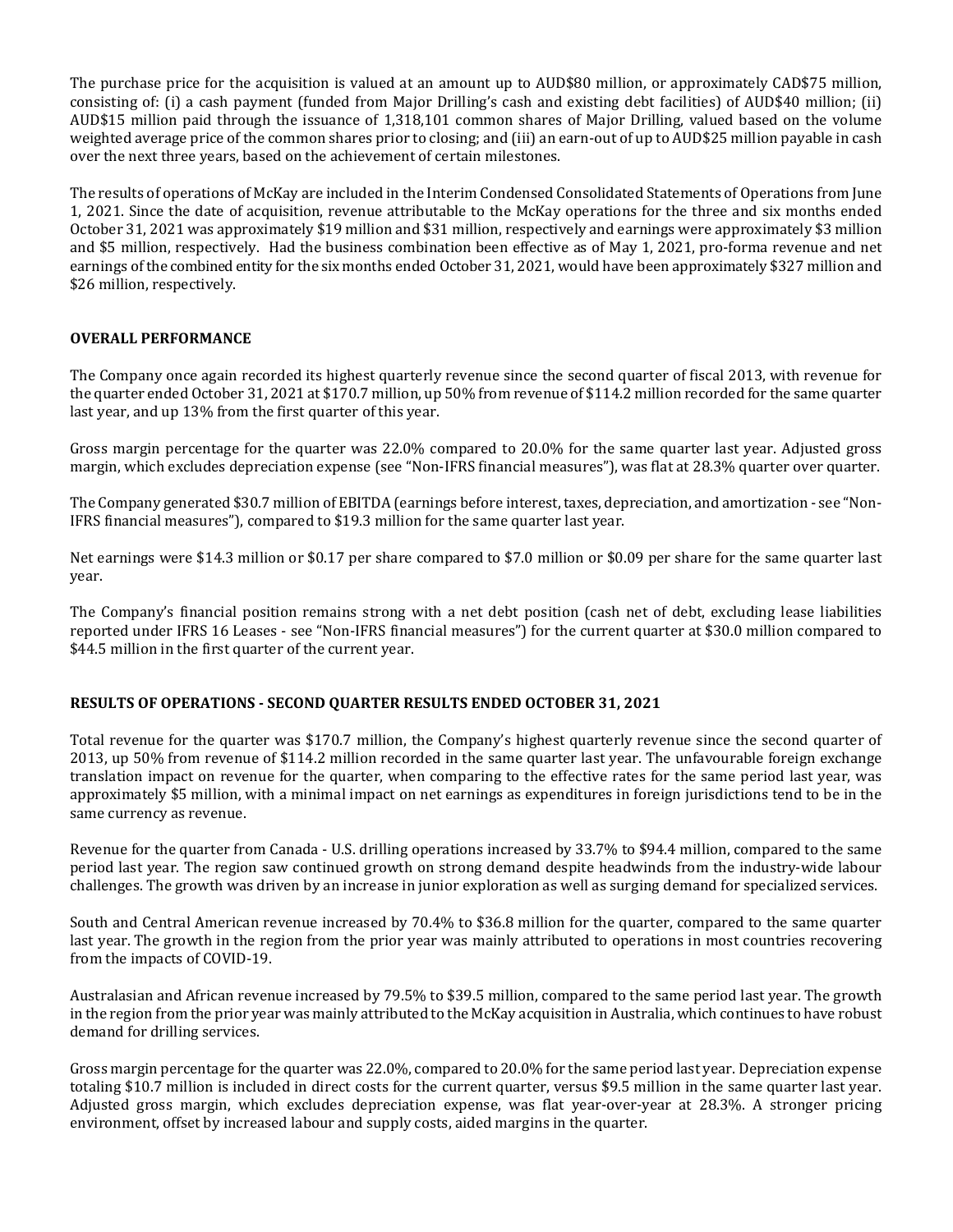The purchase price for the acquisition is valued at an amount up to AUD\$80 million, or approximately CAD\$75 million, consisting of: (i) a cash payment (funded from Major Drilling's cash and existing debt facilities) of AUD\$40 million; (ii) AUD\$15 million paid through the issuance of 1,318,101 common shares of Major Drilling, valued based on the volume weighted average price of the common shares prior to closing; and (iii) an earn-out of up to AUD\$25 million payable in cash over the next three years, based on the achievement of certain milestones.

The results of operations of McKay are included in the Interim Condensed Consolidated Statements of Operations from June 1, 2021. Since the date of acquisition, revenue attributable to the McKay operations for the three and six months ended October 31, 2021 was approximately \$19 million and \$31 million, respectively and earnings were approximately \$3 million and \$5 million, respectively. Had the business combination been effective as of May 1, 2021, pro-forma revenue and net earnings of the combined entity for the six months ended October 31, 2021, would have been approximately \$327 million and \$26 million, respectively.

# **OVERALL PERFORMANCE**

The Company once again recorded its highest quarterly revenue since the second quarter of fiscal 2013, with revenue for the quarter ended October 31, 2021 at \$170.7 million, up 50% from revenue of \$114.2 million recorded for the same quarter last year, and up 13% from the first quarter of this year.

Gross margin percentage for the quarter was 22.0% compared to 20.0% for the same quarter last year. Adjusted gross margin, which excludes depreciation expense (see "Non-IFRS financial measures"), was flat at 28.3% quarter over quarter.

The Company generated \$30.7 million of EBITDA (earnings before interest, taxes, depreciation, and amortization - see "Non-IFRS financial measures"), compared to \$19.3 million for the same quarter last year.

Net earnings were \$14.3 million or \$0.17 per share compared to \$7.0 million or \$0.09 per share for the same quarter last year.

The Company's financial position remains strong with a net debt position (cash net of debt, excluding lease liabilities reported under IFRS 16 Leases - see "Non-IFRS financial measures") for the current quarter at \$30.0 million compared to \$44.5 million in the first quarter of the current year.

### **RESULTS OF OPERATIONS - SECOND QUARTER RESULTS ENDED OCTOBER 31, 2021**

Total revenue for the quarter was \$170.7 million, the Company's highest quarterly revenue since the second quarter of 2013, up 50% from revenue of \$114.2 million recorded in the same quarter last year. The unfavourable foreign exchange translation impact on revenue for the quarter, when comparing to the effective rates for the same period last year, was approximately \$5 million, with a minimal impact on net earnings as expenditures in foreign jurisdictions tend to be in the same currency as revenue.

Revenue for the quarter from Canada - U.S. drilling operations increased by 33.7% to \$94.4 million, compared to the same period last year. The region saw continued growth on strong demand despite headwinds from the industry-wide labour challenges. The growth was driven by an increase in junior exploration as well as surging demand for specialized services.

South and Central American revenue increased by 70.4% to \$36.8 million for the quarter, compared to the same quarter last year. The growth in the region from the prior year was mainly attributed to operations in most countries recovering from the impacts of COVID-19.

Australasian and African revenue increased by 79.5% to \$39.5 million, compared to the same period last year. The growth in the region from the prior year was mainly attributed to the McKay acquisition in Australia, which continues to have robust demand for drilling services.

Gross margin percentage for the quarter was 22.0%, compared to 20.0% for the same period last year. Depreciation expense totaling \$10.7 million is included in direct costs for the current quarter, versus \$9.5 million in the same quarter last year. Adjusted gross margin, which excludes depreciation expense, was flat year-over-year at 28.3%. A stronger pricing environment, offset by increased labour and supply costs, aided margins in the quarter.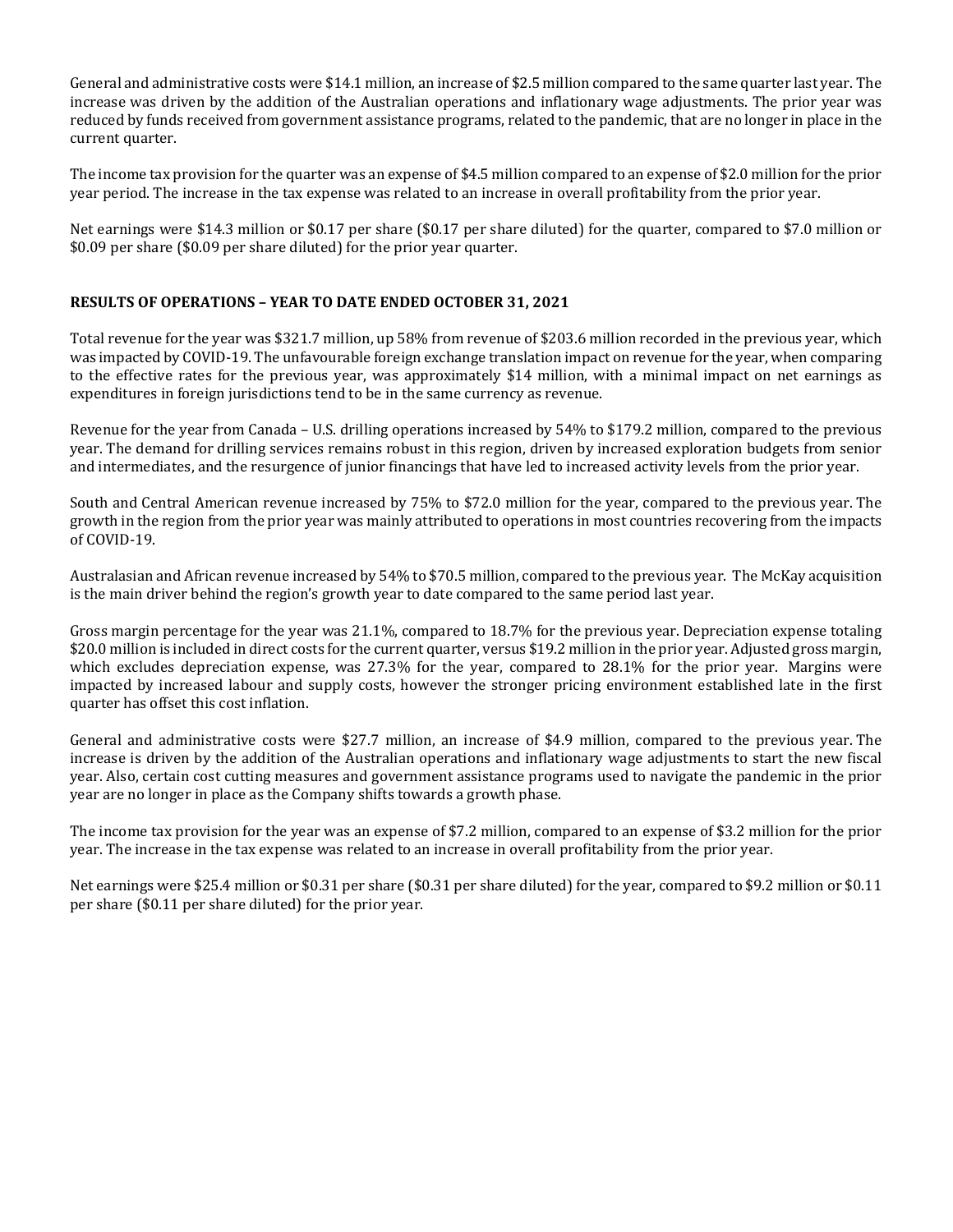General and administrative costs were \$14.1 million, an increase of \$2.5 million compared to the same quarter last year. The increase was driven by the addition of the Australian operations and inflationary wage adjustments. The prior year was reduced by funds received from government assistance programs, related to the pandemic, that are no longer in place in the current quarter.

The income tax provision for the quarter was an expense of \$4.5 million compared to an expense of \$2.0 million for the prior year period. The increase in the tax expense was related to an increase in overall profitability from the prior year.

Net earnings were \$14.3 million or \$0.17 per share (\$0.17 per share diluted) for the quarter, compared to \$7.0 million or \$0.09 per share (\$0.09 per share diluted) for the prior year quarter.

# **RESULTS OF OPERATIONS – YEAR TO DATE ENDED OCTOBER 31, 2021**

Total revenue for the year was \$321.7 million, up 58% from revenue of \$203.6 million recorded in the previous year, which was impacted by COVID-19. The unfavourable foreign exchange translation impact on revenue for the year, when comparing to the effective rates for the previous year, was approximately \$14 million, with a minimal impact on net earnings as expenditures in foreign jurisdictions tend to be in the same currency as revenue.

Revenue for the year from Canada – U.S. drilling operations increased by 54% to \$179.2 million, compared to the previous year. The demand for drilling services remains robust in this region, driven by increased exploration budgets from senior and intermediates, and the resurgence of junior financings that have led to increased activity levels from the prior year.

South and Central American revenue increased by 75% to \$72.0 million for the year, compared to the previous year. The growth in the region from the prior year was mainly attributed to operations in most countries recovering from the impacts of COVID-19.

Australasian and African revenue increased by 54% to \$70.5 million, compared to the previous year. The McKay acquisition is the main driver behind the region's growth year to date compared to the same period last year.

Gross margin percentage for the year was 21.1%, compared to 18.7% for the previous year. Depreciation expense totaling \$20.0 million is included in direct costs for the current quarter, versus \$19.2 million in the prior year. Adjusted gross margin, which excludes depreciation expense, was 27.3% for the year, compared to 28.1% for the prior year. Margins were impacted by increased labour and supply costs, however the stronger pricing environment established late in the first quarter has offset this cost inflation.

General and administrative costs were \$27.7 million, an increase of \$4.9 million, compared to the previous year. The increase is driven by the addition of the Australian operations and inflationary wage adjustments to start the new fiscal year. Also, certain cost cutting measures and government assistance programs used to navigate the pandemic in the prior year are no longer in place as the Company shifts towards a growth phase.

The income tax provision for the year was an expense of \$7.2 million, compared to an expense of \$3.2 million for the prior year. The increase in the tax expense was related to an increase in overall profitability from the prior year.

Net earnings were \$25.4 million or \$0.31 per share (\$0.31 per share diluted) for the year, compared to \$9.2 million or \$0.11 per share (\$0.11 per share diluted) for the prior year.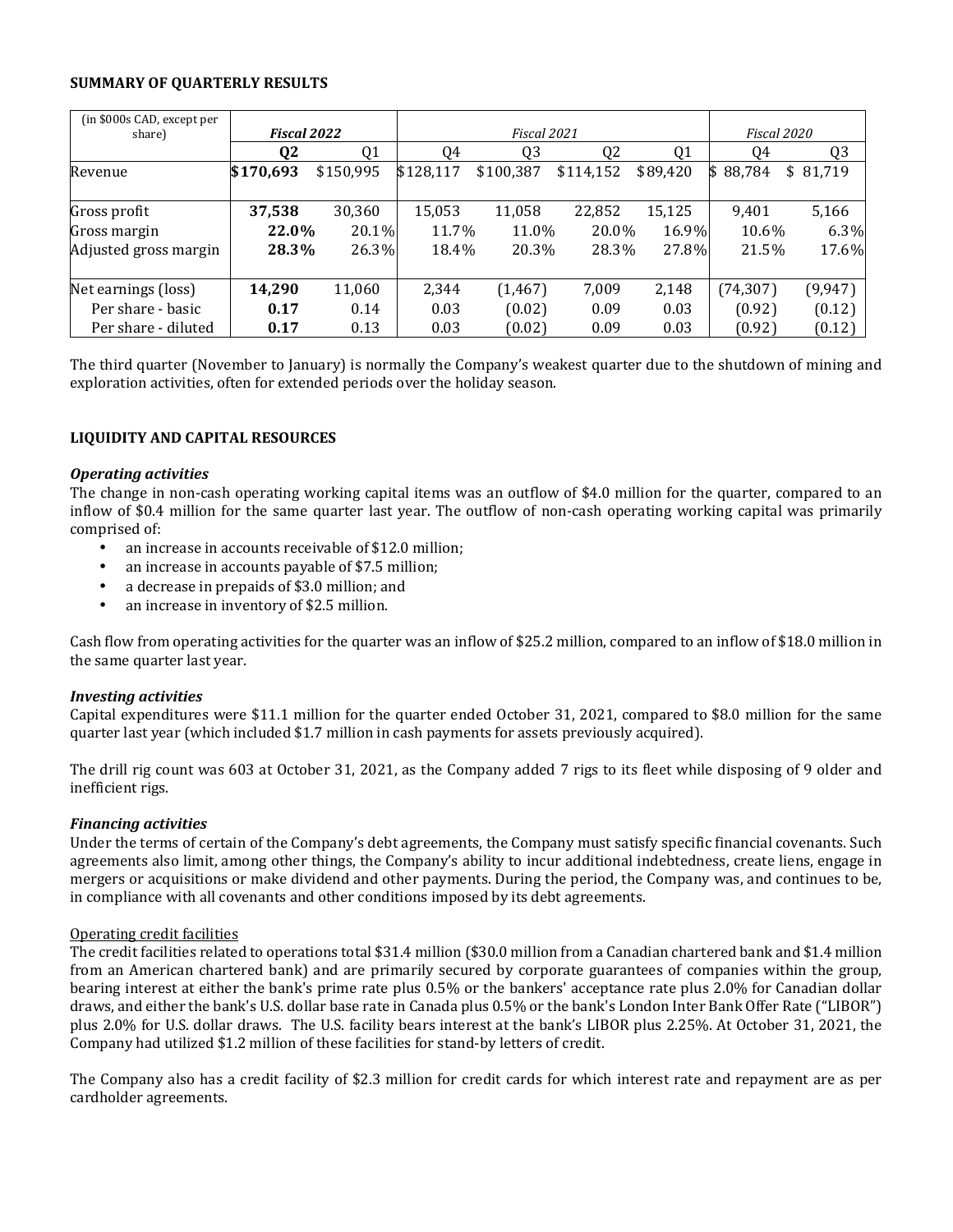### **SUMMARY OF QUARTERLY RESULTS**

| (in \$000s CAD, except per<br>share) | Fiscal 2022 |           |           | Fiscal 2021 |                |          | Fiscal 2020 |                |
|--------------------------------------|-------------|-----------|-----------|-------------|----------------|----------|-------------|----------------|
|                                      | Q2          | Q1        | 04        | 03          | Q <sub>2</sub> | Q1       | 04          | Q <sub>3</sub> |
| Revenue                              | \$170,693   | \$150,995 | \$128,117 | \$100,387   | \$114,152      | \$89,420 | \$88,784    | 81,719<br>\$   |
|                                      |             |           |           |             |                |          |             |                |
| Gross profit                         | 37,538      | 30,360    | 15,053    | 11,058      | 22,852         | 15,125   | 9,401       | 5,166          |
| Gross margin                         | 22.0%       | 20.1%     | 11.7%     | 11.0%       | 20.0%          | 16.9%    | 10.6%       | $6.3\%$        |
| Adjusted gross margin                | 28.3%       | 26.3%     | 18.4%     | 20.3%       | 28.3%          | 27.8%    | 21.5%       | 17.6%          |
|                                      |             |           |           |             |                |          |             |                |
| Net earnings (loss)                  | 14,290      | 11,060    | 2,344     | (1, 467)    | 7,009          | 2,148    | (74, 307)   | (9, 947)       |
| Per share - basic                    | 0.17        | 0.14      | 0.03      | (0.02)      | 0.09           | 0.03     | (0.92)      | (0.12)         |
| Per share - diluted                  | 0.17        | 0.13      | 0.03      | (0.02)      | 0.09           | 0.03     | (0.92)      | (0.12)         |

The third quarter (November to January) is normally the Company's weakest quarter due to the shutdown of mining and exploration activities, often for extended periods over the holiday season.

# **LIQUIDITY AND CAPITAL RESOURCES**

### *Operating activities*

The change in non-cash operating working capital items was an outflow of \$4.0 million for the quarter, compared to an inflow of \$0.4 million for the same quarter last year. The outflow of non-cash operating working capital was primarily comprised of:

- an increase in accounts receivable of \$12.0 million;
- an increase in accounts payable of \$7.5 million;
- a decrease in prepaids of \$3.0 million; and
- an increase in inventory of \$2.5 million.

Cash flow from operating activities for the quarter was an inflow of \$25.2 million, compared to an inflow of \$18.0 million in the same quarter last year.

### *Investing activities*

Capital expenditures were \$11.1 million for the quarter ended October 31, 2021, compared to \$8.0 million for the same quarter last year (which included \$1.7 million in cash payments for assets previously acquired).

The drill rig count was 603 at October 31, 2021, as the Company added 7 rigs to its fleet while disposing of 9 older and inefficient rigs.

### *Financing activities*

Under the terms of certain of the Company's debt agreements, the Company must satisfy specific financial covenants. Such agreements also limit, among other things, the Company's ability to incur additional indebtedness, create liens, engage in mergers or acquisitions or make dividend and other payments. During the period, the Company was, and continues to be, in compliance with all covenants and other conditions imposed by its debt agreements.

### Operating credit facilities

The credit facilities related to operations total \$31.4 million (\$30.0 million from a Canadian chartered bank and \$1.4 million from an American chartered bank) and are primarily secured by corporate guarantees of companies within the group, bearing interest at either the bank's prime rate plus 0.5% or the bankers' acceptance rate plus 2.0% for Canadian dollar draws, and either the bank's U.S. dollar base rate in Canada plus 0.5% or the bank's London Inter Bank Offer Rate ("LIBOR") plus 2.0% for U.S. dollar draws. The U.S. facility bears interest at the bank's LIBOR plus 2.25%. At October 31, 2021, the Company had utilized \$1.2 million of these facilities for stand-by letters of credit.

The Company also has a credit facility of \$2.3 million for credit cards for which interest rate and repayment are as per cardholder agreements.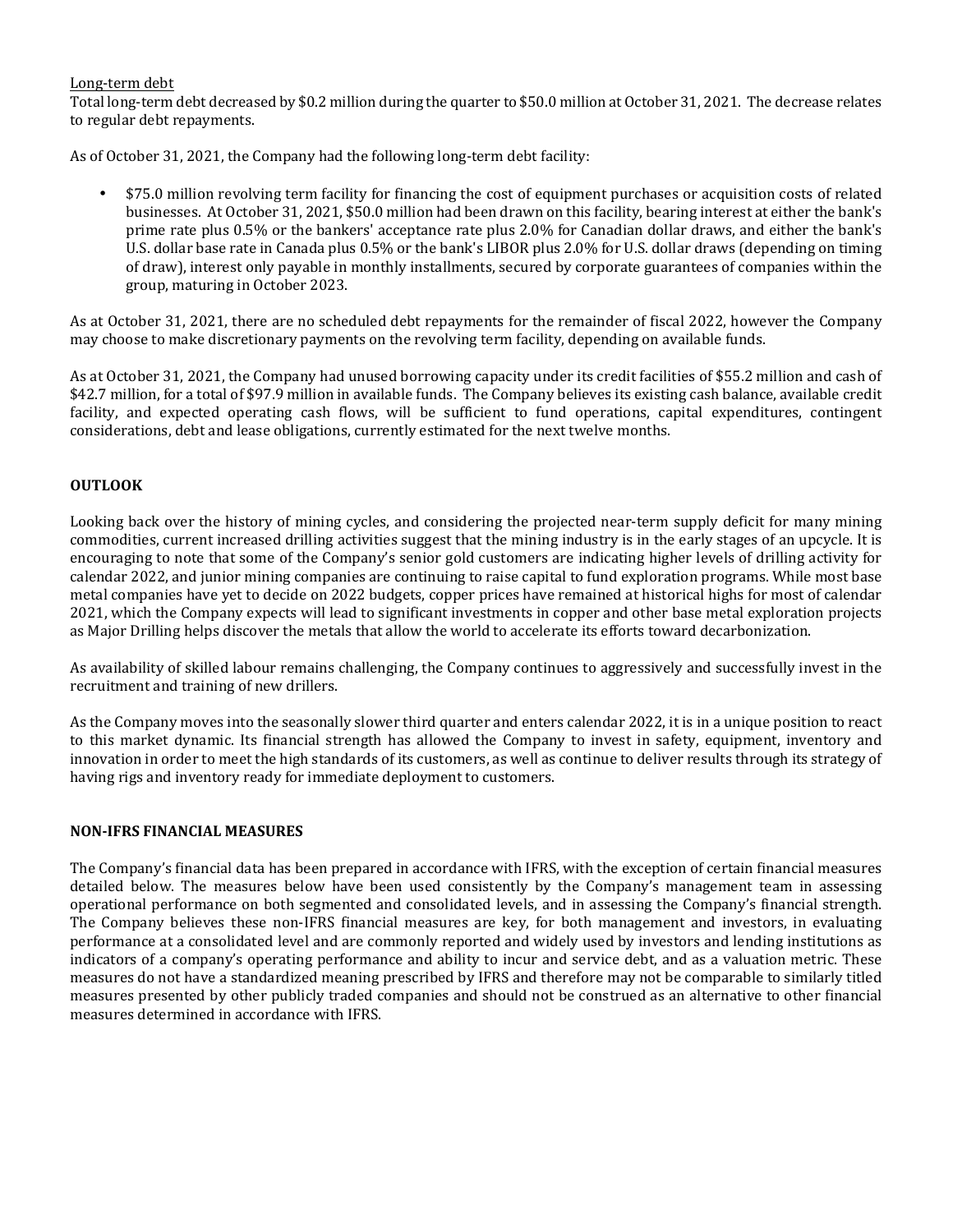### Long-term debt

Total long-term debt decreased by \$0.2 million during the quarter to \$50.0 million at October 31, 2021. The decrease relates to regular debt repayments.

As of October 31, 2021, the Company had the following long-term debt facility:

• \$75.0 million revolving term facility for financing the cost of equipment purchases or acquisition costs of related businesses. At October 31, 2021, \$50.0 million had been drawn on this facility, bearing interest at either the bank's prime rate plus 0.5% or the bankers' acceptance rate plus 2.0% for Canadian dollar draws, and either the bank's U.S. dollar base rate in Canada plus 0.5% or the bank's LIBOR plus 2.0% for U.S. dollar draws (depending on timing of draw), interest only payable in monthly installments, secured by corporate guarantees of companies within the group, maturing in October 2023.

As at October 31, 2021, there are no scheduled debt repayments for the remainder of fiscal 2022, however the Company may choose to make discretionary payments on the revolving term facility, depending on available funds.

As at October 31, 2021, the Company had unused borrowing capacity under its credit facilities of \$55.2 million and cash of \$42.7 million, for a total of \$97.9 million in available funds. The Company believes its existing cash balance, available credit facility, and expected operating cash flows, will be sufficient to fund operations, capital expenditures, contingent considerations, debt and lease obligations, currently estimated for the next twelve months.

# **OUTLOOK**

Looking back over the history of mining cycles, and considering the projected near-term supply deficit for many mining commodities, current increased drilling activities suggest that the mining industry is in the early stages of an upcycle. It is encouraging to note that some of the Company's senior gold customers are indicating higher levels of drilling activity for calendar 2022, and junior mining companies are continuing to raise capital to fund exploration programs. While most base metal companies have yet to decide on 2022 budgets, copper prices have remained at historical highs for most of calendar 2021, which the Company expects will lead to significant investments in copper and other base metal exploration projects as Major Drilling helps discover the metals that allow the world to accelerate its efforts toward decarbonization.

As availability of skilled labour remains challenging, the Company continues to aggressively and successfully invest in the recruitment and training of new drillers.

As the Company moves into the seasonally slower third quarter and enters calendar 2022, it is in a unique position to react to this market dynamic. Its financial strength has allowed the Company to invest in safety, equipment, inventory and innovation in order to meet the high standards of its customers, as well as continue to deliver results through its strategy of having rigs and inventory ready for immediate deployment to customers.

### **NON-IFRS FINANCIAL MEASURES**

The Company's financial data has been prepared in accordance with IFRS, with the exception of certain financial measures detailed below. The measures below have been used consistently by the Company's management team in assessing operational performance on both segmented and consolidated levels, and in assessing the Company's financial strength. The Company believes these non-IFRS financial measures are key, for both management and investors, in evaluating performance at a consolidated level and are commonly reported and widely used by investors and lending institutions as indicators of a company's operating performance and ability to incur and service debt, and as a valuation metric. These measures do not have a standardized meaning prescribed by IFRS and therefore may not be comparable to similarly titled measures presented by other publicly traded companies and should not be construed as an alternative to other financial measures determined in accordance with IFRS.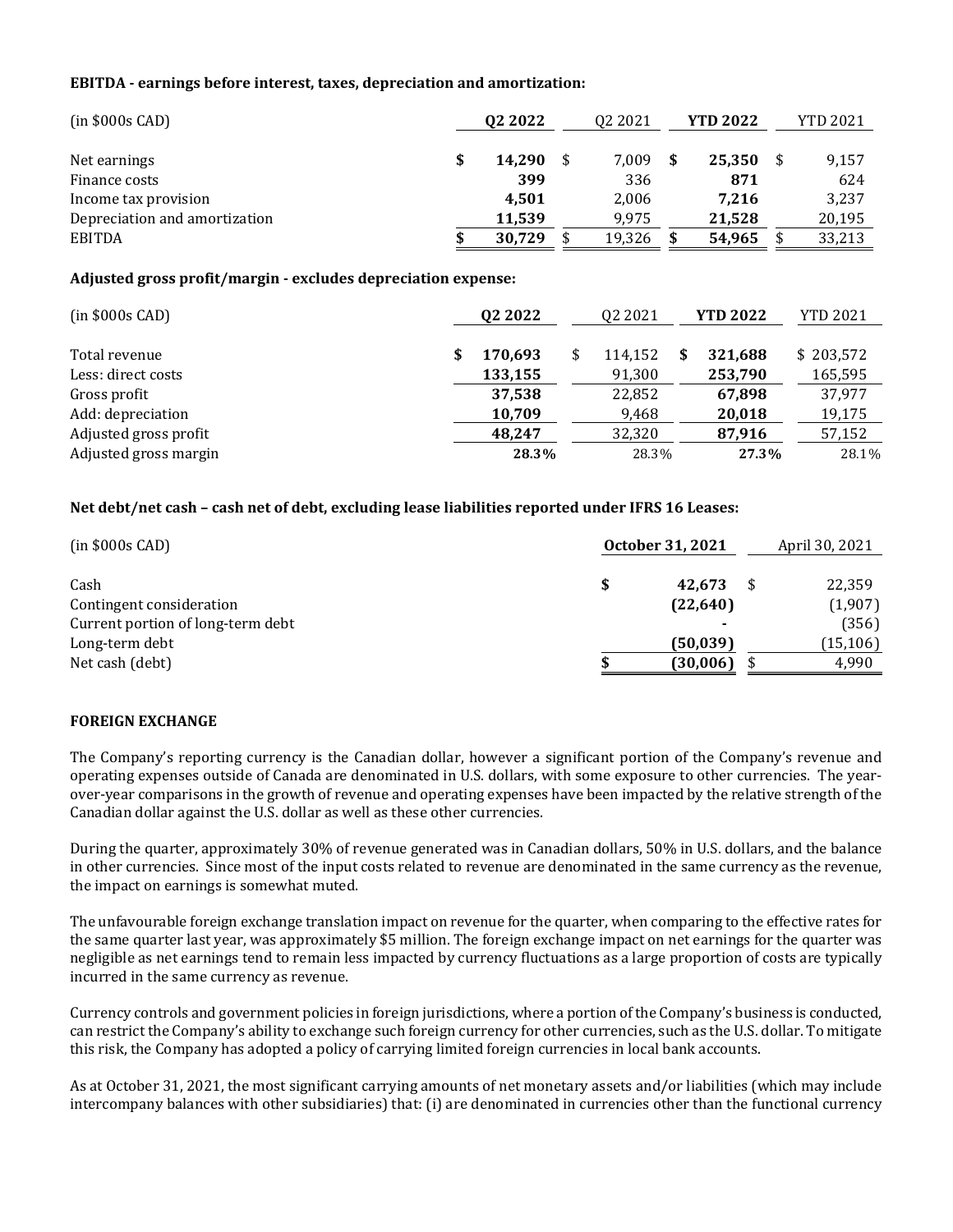### **EBITDA - earnings before interest, taxes, depreciation and amortization:**

| $(in $000s$ CAD)              | 02 2022 | 02 20 21 | <b>YTD 2022</b> | <b>YTD 2021</b> |
|-------------------------------|---------|----------|-----------------|-----------------|
|                               |         |          |                 |                 |
| Net earnings                  | 14.290  | 7.009    | 25,350          | 9,157           |
| Finance costs                 | 399     | 336      | 871             | 624             |
| Income tax provision          | 4.501   | 2.006    | 7.216           | 3,237           |
| Depreciation and amortization | 11.539  | 9.975    | 21.528          | 20,195          |
| <b>EBITDA</b>                 | 30,729  | 19,326   | 54,965          | 33,213          |

### **Adjusted gross profit/margin - excludes depreciation expense:**

| $(in $000s$ CAD)      | 02 2022 | 02 2021 | <b>YTD 2022</b> | <b>YTD 2021</b> |
|-----------------------|---------|---------|-----------------|-----------------|
| Total revenue         | 170.693 | 114,152 | 321,688         | \$203,572       |
| Less: direct costs    | 133,155 | 91,300  | 253,790         | 165,595         |
| Gross profit          | 37.538  | 22,852  | 67,898          | 37.977          |
| Add: depreciation     | 10,709  | 9,468   | 20,018          | 19,175          |
| Adjusted gross profit | 48.247  | 32,320  | 87,916          | 57,152          |
| Adjusted gross margin | 28.3%   | 28.3%   | 27.3%           | 28.1%           |

# **Net debt/net cash – cash net of debt, excluding lease liabilities reported under IFRS 16 Leases:**

| $(in $000s$ CAD)                  | October 31, 2021 | April 30, 2021 |  |  |
|-----------------------------------|------------------|----------------|--|--|
| Cash                              | 42.673           | 22,359         |  |  |
| Contingent consideration          | (22,640)         | (1,907)        |  |  |
| Current portion of long-term debt | ۰                | (356)          |  |  |
| Long-term debt                    | (50,039)         | (15, 106)      |  |  |
| Net cash (debt)                   | (30, 006)        | 4,990          |  |  |

### **FOREIGN EXCHANGE**

The Company's reporting currency is the Canadian dollar, however a significant portion of the Company's revenue and operating expenses outside of Canada are denominated in U.S. dollars, with some exposure to other currencies. The yearover-year comparisons in the growth of revenue and operating expenses have been impacted by the relative strength of the Canadian dollar against the U.S. dollar as well as these other currencies.

During the quarter, approximately 30% of revenue generated was in Canadian dollars, 50% in U.S. dollars, and the balance in other currencies. Since most of the input costs related to revenue are denominated in the same currency as the revenue, the impact on earnings is somewhat muted.

The unfavourable foreign exchange translation impact on revenue for the quarter, when comparing to the effective rates for the same quarter last year, was approximately \$5 million. The foreign exchange impact on net earnings for the quarter was negligible as net earnings tend to remain less impacted by currency fluctuations as a large proportion of costs are typically incurred in the same currency as revenue.

Currency controls and government policies in foreign jurisdictions, where a portion of the Company's business is conducted, can restrict the Company's ability to exchange such foreign currency for other currencies, such as the U.S. dollar. To mitigate this risk, the Company has adopted a policy of carrying limited foreign currencies in local bank accounts.

As at October 31, 2021, the most significant carrying amounts of net monetary assets and/or liabilities (which may include intercompany balances with other subsidiaries) that: (i) are denominated in currencies other than the functional currency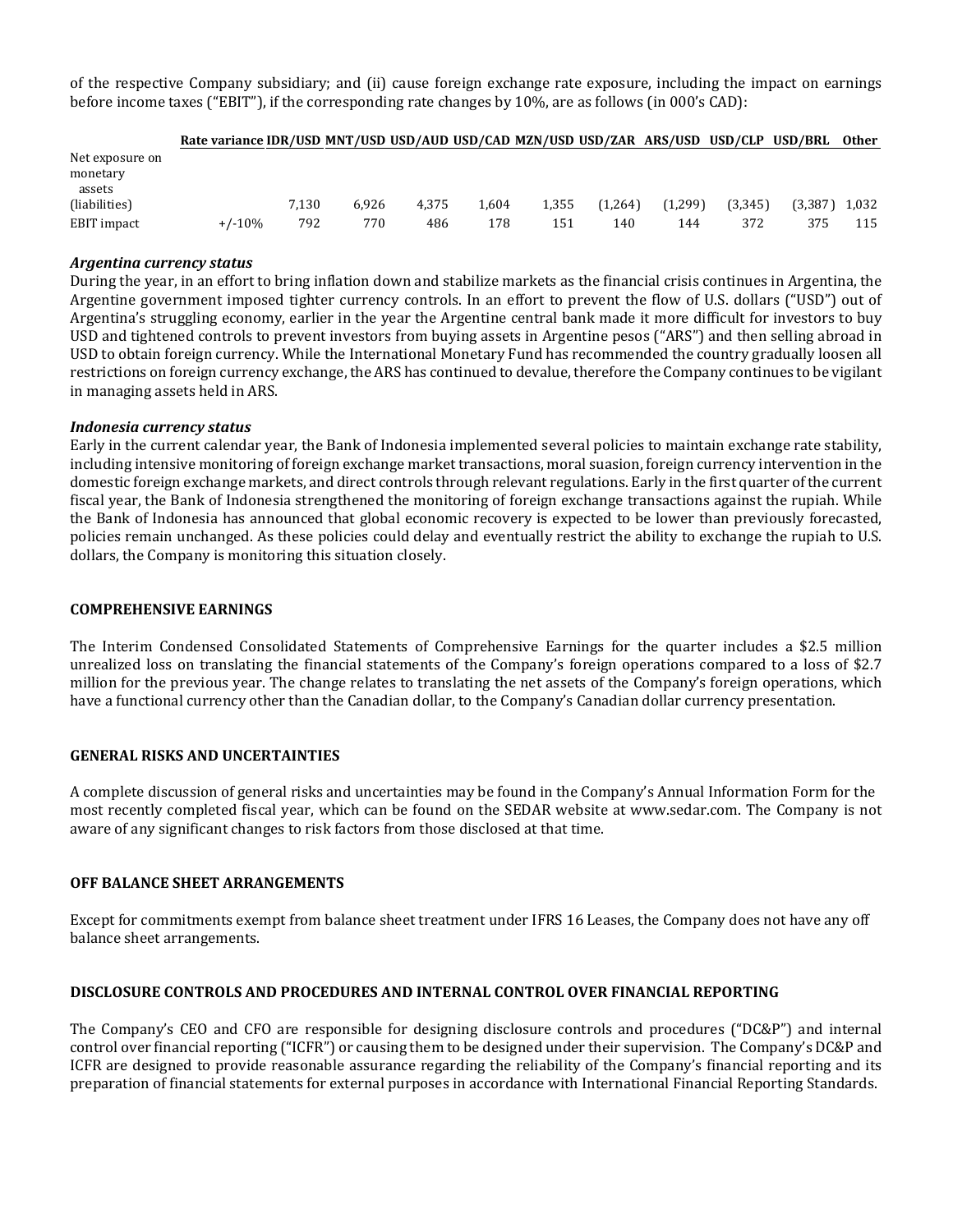of the respective Company subsidiary; and (ii) cause foreign exchange rate exposure, including the impact on earnings before income taxes ("EBIT"), if the corresponding rate changes by 10%, are as follows (in 000's CAD):

|                                       | Rate variance IDR/USD MNT/USD USD/AUD USD/CAD MZN/USD USD/ZAR ARS/USD USD/CLP USD/BRL |       |       |       |       |       |         |         |         |         | Other |
|---------------------------------------|---------------------------------------------------------------------------------------|-------|-------|-------|-------|-------|---------|---------|---------|---------|-------|
| Net exposure on<br>monetary<br>assets |                                                                                       |       |       |       |       |       |         |         |         |         |       |
| (liabilities)                         |                                                                                       | 7.130 | 6.926 | 4.375 | 1.604 | 1.355 | (1.264) | (1.299) | (3.345) | (3.387) | 1.032 |
| EBIT impact                           | $+/-10%$                                                                              | 792   | 770   | 486   | 178   | 151   | 140     | 144     | 372     | 375     | 115   |

### *Argentina currency status*

During the year, in an effort to bring inflation down and stabilize markets as the financial crisis continues in Argentina, the Argentine government imposed tighter currency controls. In an effort to prevent the flow of U.S. dollars ("USD") out of Argentina's struggling economy, earlier in the year the Argentine central bank made it more difficult for investors to buy USD and tightened controls to prevent investors from buying assets in Argentine pesos ("ARS") and then selling abroad in USD to obtain foreign currency. While the International Monetary Fund has recommended the country gradually loosen all restrictions on foreign currency exchange, the ARS has continued to devalue, therefore the Company continues to be vigilant in managing assets held in ARS.

### *Indonesia currency status*

Early in the current calendar year, the Bank of Indonesia implemented several policies to maintain exchange rate stability, including intensive monitoring of foreign exchange market transactions, moral suasion, foreign currency intervention in the domestic foreign exchange markets, and direct controls through relevant regulations. Early in the first quarter of the current fiscal year, the Bank of Indonesia strengthened the monitoring of foreign exchange transactions against the rupiah. While the Bank of Indonesia has announced that global economic recovery is expected to be lower than previously forecasted, policies remain unchanged. As these policies could delay and eventually restrict the ability to exchange the rupiah to U.S. dollars, the Company is monitoring this situation closely.

### **COMPREHENSIVE EARNINGS**

The Interim Condensed Consolidated Statements of Comprehensive Earnings for the quarter includes a \$2.5 million unrealized loss on translating the financial statements of the Company's foreign operations compared to a loss of \$2.7 million for the previous year. The change relates to translating the net assets of the Company's foreign operations, which have a functional currency other than the Canadian dollar, to the Company's Canadian dollar currency presentation.

### **GENERAL RISKS AND UNCERTAINTIES**

A complete discussion of general risks and uncertainties may be found in the Company's Annual Information Form for the most recently completed fiscal year, which can be found on the SEDAR website at www.sedar.com. The Company is not aware of any significant changes to risk factors from those disclosed at that time.

### **OFF BALANCE SHEET ARRANGEMENTS**

Except for commitments exempt from balance sheet treatment under IFRS 16 Leases, the Company does not have any off balance sheet arrangements.

# **DISCLOSURE CONTROLS AND PROCEDURES AND INTERNAL CONTROL OVER FINANCIAL REPORTING**

The Company's CEO and CFO are responsible for designing disclosure controls and procedures ("DC&P") and internal control over financial reporting ("ICFR") or causing them to be designed under their supervision. The Company's DC&P and ICFR are designed to provide reasonable assurance regarding the reliability of the Company's financial reporting and its preparation of financial statements for external purposes in accordance with International Financial Reporting Standards.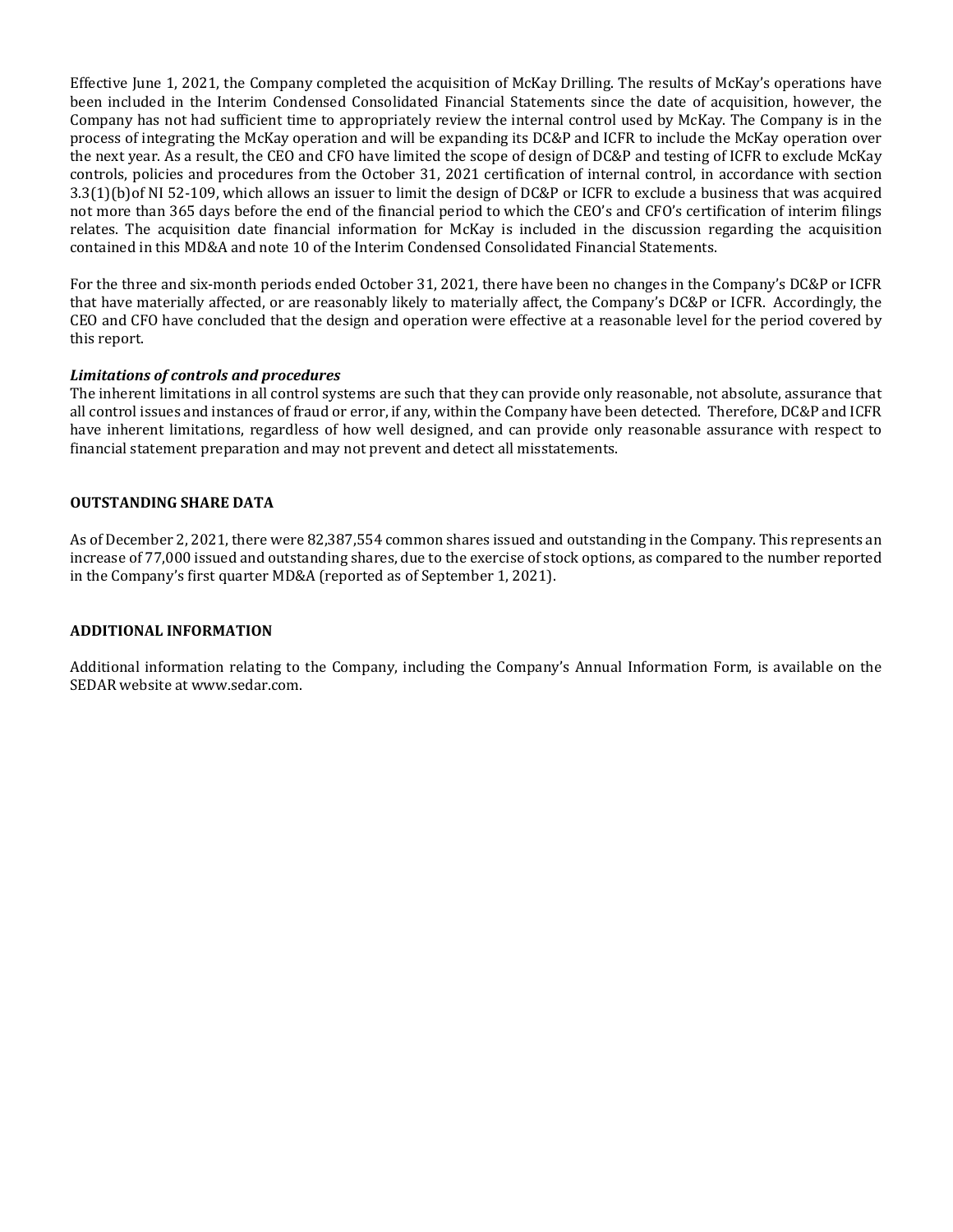Effective June 1, 2021, the Company completed the acquisition of McKay Drilling. The results of McKay's operations have been included in the Interim Condensed Consolidated Financial Statements since the date of acquisition, however, the Company has not had sufficient time to appropriately review the internal control used by McKay. The Company is in the process of integrating the McKay operation and will be expanding its DC&P and ICFR to include the McKay operation over the next year. As a result, the CEO and CFO have limited the scope of design of DC&P and testing of ICFR to exclude McKay controls, policies and procedures from the October 31, 2021 certification of internal control, in accordance with section 3.3(1)(b)of NI 52-109, which allows an issuer to limit the design of DC&P or ICFR to exclude a business that was acquired not more than 365 days before the end of the financial period to which the CEO's and CFO's certification of interim filings relates. The acquisition date financial information for McKay is included in the discussion regarding the acquisition contained in this MD&A and note 10 of the Interim Condensed Consolidated Financial Statements.

For the three and six-month periods ended October 31, 2021, there have been no changes in the Company's DC&P or ICFR that have materially affected, or are reasonably likely to materially affect, the Company's DC&P or ICFR. Accordingly, the CEO and CFO have concluded that the design and operation were effective at a reasonable level for the period covered by this report.

### *Limitations of controls and procedures*

The inherent limitations in all control systems are such that they can provide only reasonable, not absolute, assurance that all control issues and instances of fraud or error, if any, within the Company have been detected. Therefore, DC&P and ICFR have inherent limitations, regardless of how well designed, and can provide only reasonable assurance with respect to financial statement preparation and may not prevent and detect all misstatements.

### **OUTSTANDING SHARE DATA**

As of December 2, 2021, there were 82,387,554 common shares issued and outstanding in the Company. This represents an increase of 77,000 issued and outstanding shares, due to the exercise of stock options, as compared to the number reported in the Company's first quarter MD&A (reported as of September 1, 2021).

### **ADDITIONAL INFORMATION**

Additional information relating to the Company, including the Company's Annual Information Form, is available on the SEDAR website at [www.sedar.com](http://www.sedar.com/).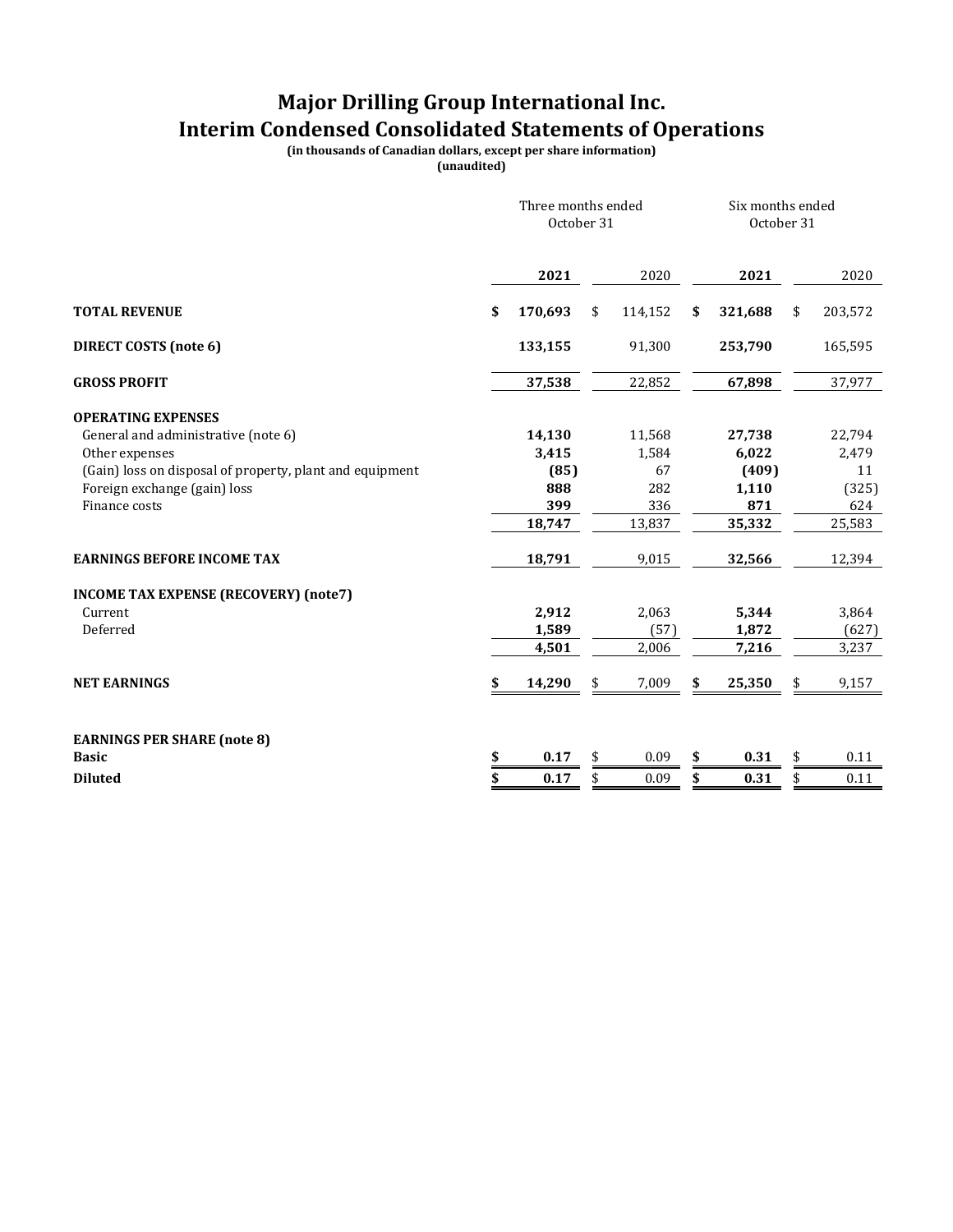# **Major Drilling Group International Inc. Interim Condensed Consolidated Statements of Operations**

**(in thousands of Canadian dollars, except per share information)**

**(unaudited)**

|                                                          | Three months ended<br>October 31 |    |         |    | Six months ended<br>October 31 |    |         |  |
|----------------------------------------------------------|----------------------------------|----|---------|----|--------------------------------|----|---------|--|
|                                                          | 2021                             |    | 2020    |    | 2021                           |    | 2020    |  |
| <b>TOTAL REVENUE</b>                                     | \$<br>170,693                    | \$ | 114,152 | \$ | 321,688                        | \$ | 203,572 |  |
| <b>DIRECT COSTS (note 6)</b>                             | 133,155                          |    | 91,300  |    | 253,790                        |    | 165,595 |  |
| <b>GROSS PROFIT</b>                                      | 37,538                           |    | 22,852  |    | 67,898                         |    | 37,977  |  |
| <b>OPERATING EXPENSES</b>                                |                                  |    |         |    |                                |    |         |  |
| General and administrative (note 6)                      | 14,130                           |    | 11,568  |    | 27,738                         |    | 22,794  |  |
| Other expenses                                           | 3,415                            |    | 1,584   |    | 6,022                          |    | 2,479   |  |
| (Gain) loss on disposal of property, plant and equipment | (85)                             |    | 67      |    | (409)                          |    | 11      |  |
| Foreign exchange (gain) loss                             | 888                              |    | 282     |    | 1,110                          |    | (325)   |  |
| Finance costs                                            | 399                              |    | 336     |    | 871                            |    | 624     |  |
|                                                          | 18,747                           |    | 13,837  |    | 35,332                         |    | 25,583  |  |
| <b>EARNINGS BEFORE INCOME TAX</b>                        | 18,791                           |    | 9,015   |    | 32,566                         |    | 12,394  |  |
| <b>INCOME TAX EXPENSE (RECOVERY) (note7)</b>             |                                  |    |         |    |                                |    |         |  |
| Current                                                  | 2,912                            |    | 2,063   |    | 5,344                          |    | 3,864   |  |
| Deferred                                                 | 1,589                            |    | (57)    |    | 1,872                          |    | (627)   |  |
|                                                          | 4,501                            |    | 2,006   |    | 7,216                          |    | 3,237   |  |
| <b>NET EARNINGS</b>                                      | \$<br>14,290                     | \$ | 7,009   | S  | 25,350                         |    | 9,157   |  |
|                                                          |                                  |    |         |    |                                |    |         |  |
| <b>EARNINGS PER SHARE (note 8)</b>                       |                                  |    |         |    |                                |    |         |  |
| <b>Basic</b>                                             | \$<br>0.17                       | \$ | 0.09    | \$ | 0.31                           | \$ | 0.11    |  |
| <b>Diluted</b>                                           | \$<br>0.17                       | \$ | 0.09    | \$ | 0.31                           | \$ | 0.11    |  |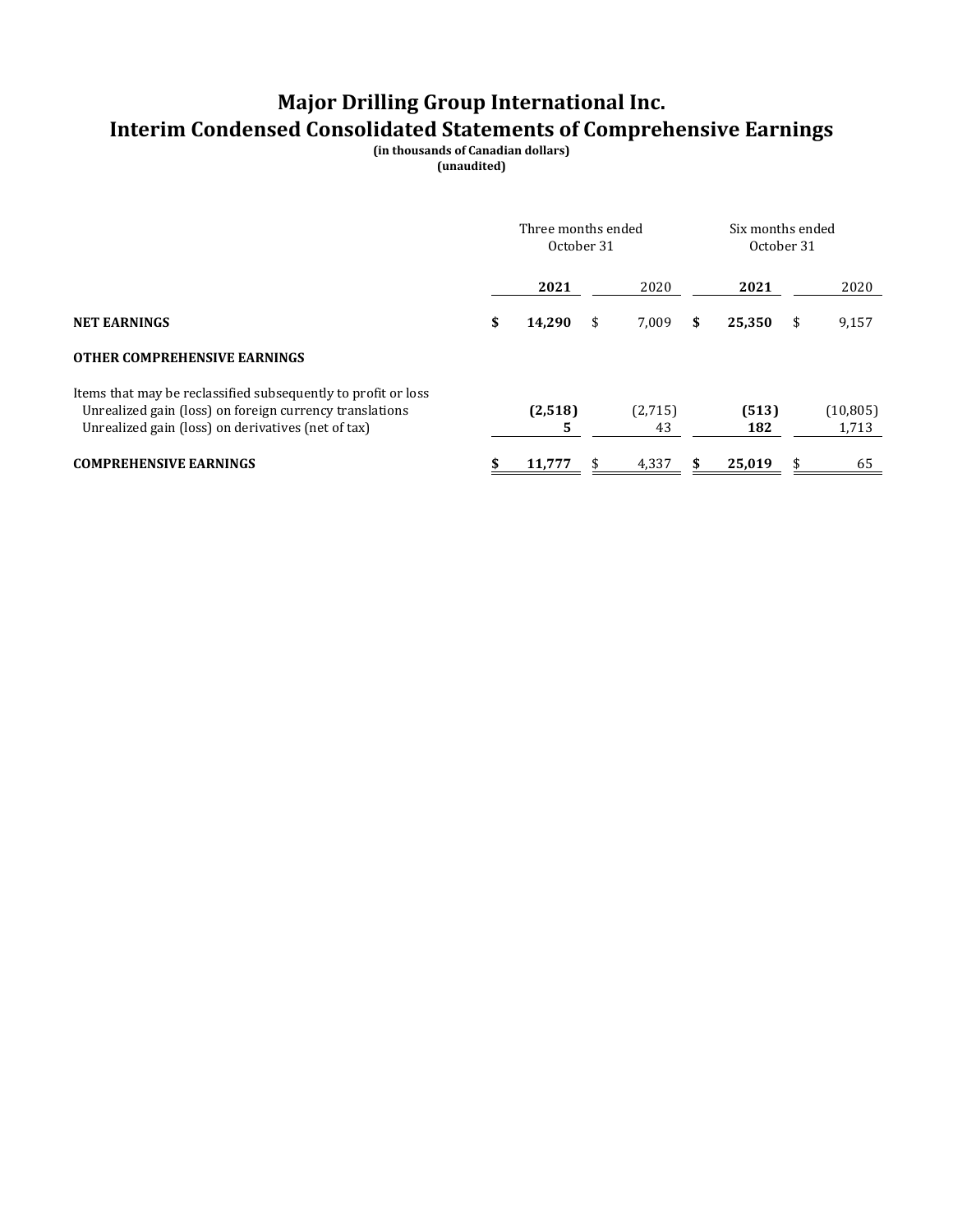# **Major Drilling Group International Inc. Interim Condensed Consolidated Statements of Comprehensive Earnings**

**(in thousands of Canadian dollars) (unaudited)**

|                                                                                                                                                                                | Three months ended<br>October 31 |    |               | Six months ended<br>October 31 |              |     |                    |
|--------------------------------------------------------------------------------------------------------------------------------------------------------------------------------|----------------------------------|----|---------------|--------------------------------|--------------|-----|--------------------|
|                                                                                                                                                                                | 2021                             |    | 2020          |                                | 2021         |     | 2020               |
| <b>NET EARNINGS</b>                                                                                                                                                            | \$<br>14,290                     | \$ | 7,009         | \$                             | 25,350       | \$  | 9,157              |
| <b>OTHER COMPREHENSIVE EARNINGS</b>                                                                                                                                            |                                  |    |               |                                |              |     |                    |
| Items that may be reclassified subsequently to profit or loss<br>Unrealized gain (loss) on foreign currency translations<br>Unrealized gain (loss) on derivatives (net of tax) | (2,518)<br>5                     |    | (2,715)<br>43 |                                | (513)<br>182 |     | (10, 805)<br>1,713 |
| <b>COMPREHENSIVE EARNINGS</b>                                                                                                                                                  | 11.777                           | S  | 4,337         |                                | 25.019       | SS. | 65                 |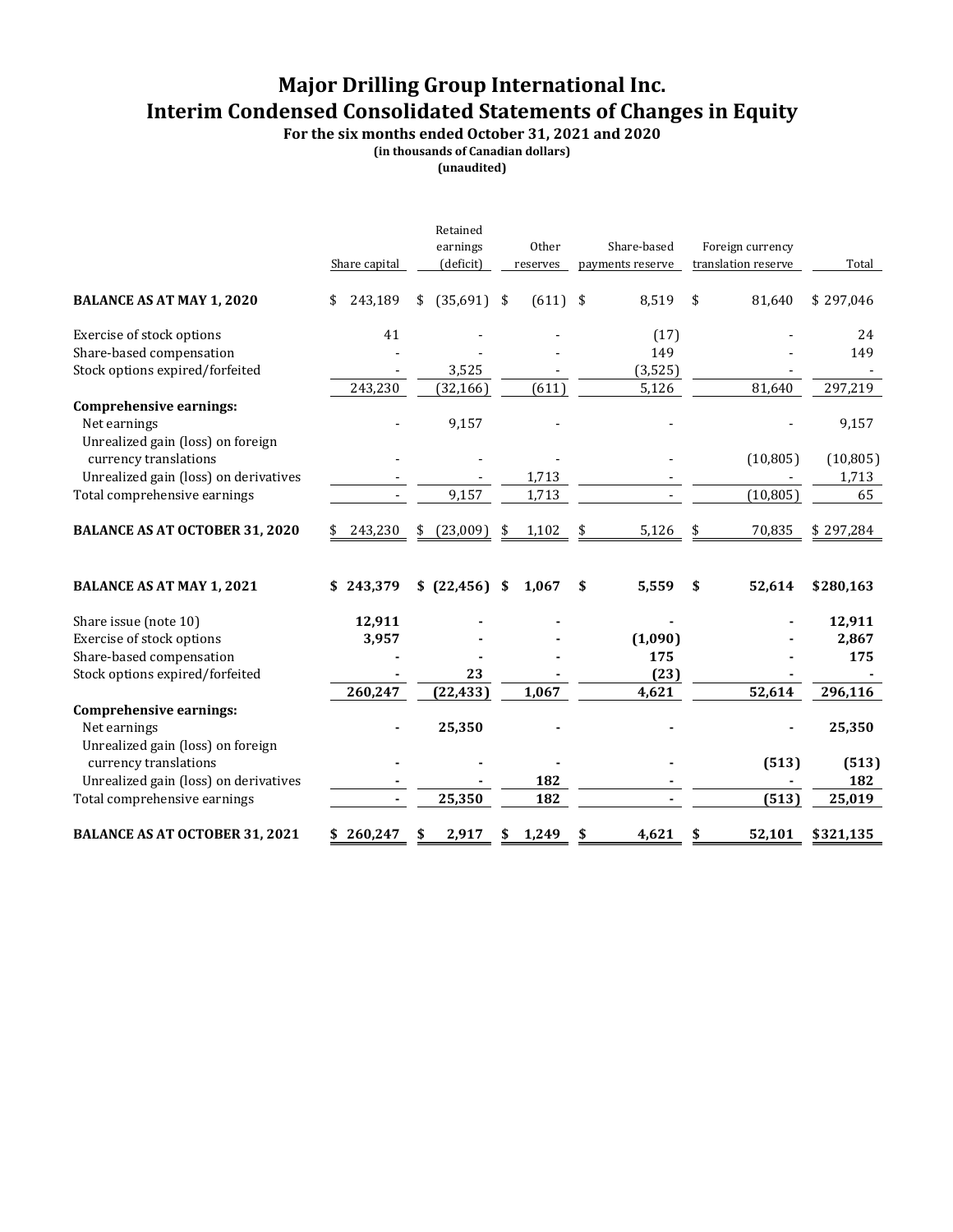# **Major Drilling Group International Inc. Interim Condensed Consolidated Statements of Changes in Equity**

**For the six months ended October 31, 2021 and 2020**

**(in thousands of Canadian dollars)**

**(unaudited)**

|                                                                                     | Share capital | Retained<br>earnings<br>(deficit) | Other<br>reserves | Share-based<br>payments reserve | Foreign currency<br>translation reserve | Total     |
|-------------------------------------------------------------------------------------|---------------|-----------------------------------|-------------------|---------------------------------|-----------------------------------------|-----------|
| <b>BALANCE AS AT MAY 1, 2020</b>                                                    | 243,189<br>\$ | \$<br>$(35,691)$ \$               | $(611)$ \$        | 8,519                           | \$<br>81,640                            | \$297,046 |
| Exercise of stock options                                                           | 41            |                                   |                   | (17)                            |                                         | 24        |
| Share-based compensation                                                            |               |                                   |                   | 149                             |                                         | 149       |
| Stock options expired/forfeited                                                     |               | 3,525                             |                   | (3, 525)                        |                                         |           |
|                                                                                     | 243,230       | (32, 166)                         | (611)             | 5,126                           | 81,640                                  | 297,219   |
| <b>Comprehensive earnings:</b><br>Net earnings<br>Unrealized gain (loss) on foreign |               | 9,157                             |                   |                                 |                                         | 9,157     |
| currency translations                                                               |               |                                   |                   |                                 | (10, 805)                               | (10, 805) |
| Unrealized gain (loss) on derivatives                                               |               |                                   | 1,713             |                                 |                                         | 1,713     |
| Total comprehensive earnings                                                        |               | 9,157                             | 1,713             |                                 | (10, 805)                               | 65        |
| <b>BALANCE AS AT OCTOBER 31, 2020</b>                                               | 243,230<br>\$ | \$<br>(23,009)                    | \$<br>1,102       | \$<br>5,126                     | \$<br>70,835                            | \$297,284 |
| <b>BALANCE AS AT MAY 1, 2021</b>                                                    | \$243,379     | \$ (22, 456) \$                   | 1,067             | \$<br>5,559                     | \$<br>52,614                            | \$280,163 |
| Share issue (note 10)                                                               | 12,911        |                                   |                   |                                 |                                         | 12,911    |
| Exercise of stock options                                                           | 3,957         |                                   |                   | (1,090)                         |                                         | 2,867     |
| Share-based compensation                                                            |               |                                   |                   | 175                             |                                         | 175       |
| Stock options expired/forfeited                                                     |               | 23                                |                   | (23)                            |                                         |           |
|                                                                                     | 260,247       | (22, 433)                         | 1,067             | 4,621                           | 52,614                                  | 296,116   |
| <b>Comprehensive earnings:</b><br>Net earnings<br>Unrealized gain (loss) on foreign |               | 25,350                            |                   |                                 |                                         | 25,350    |
| currency translations                                                               |               |                                   |                   |                                 | (513)                                   | (513)     |
| Unrealized gain (loss) on derivatives                                               |               |                                   | 182               |                                 |                                         | 182       |
| Total comprehensive earnings                                                        |               | 25,350                            | 182               |                                 | (513)                                   | 25,019    |
| <b>BALANCE AS AT OCTOBER 31, 2021</b>                                               | \$260,247     | \$<br>2,917                       | \$<br>1,249       | \$<br>4,621                     | \$<br>52,101                            | \$321,135 |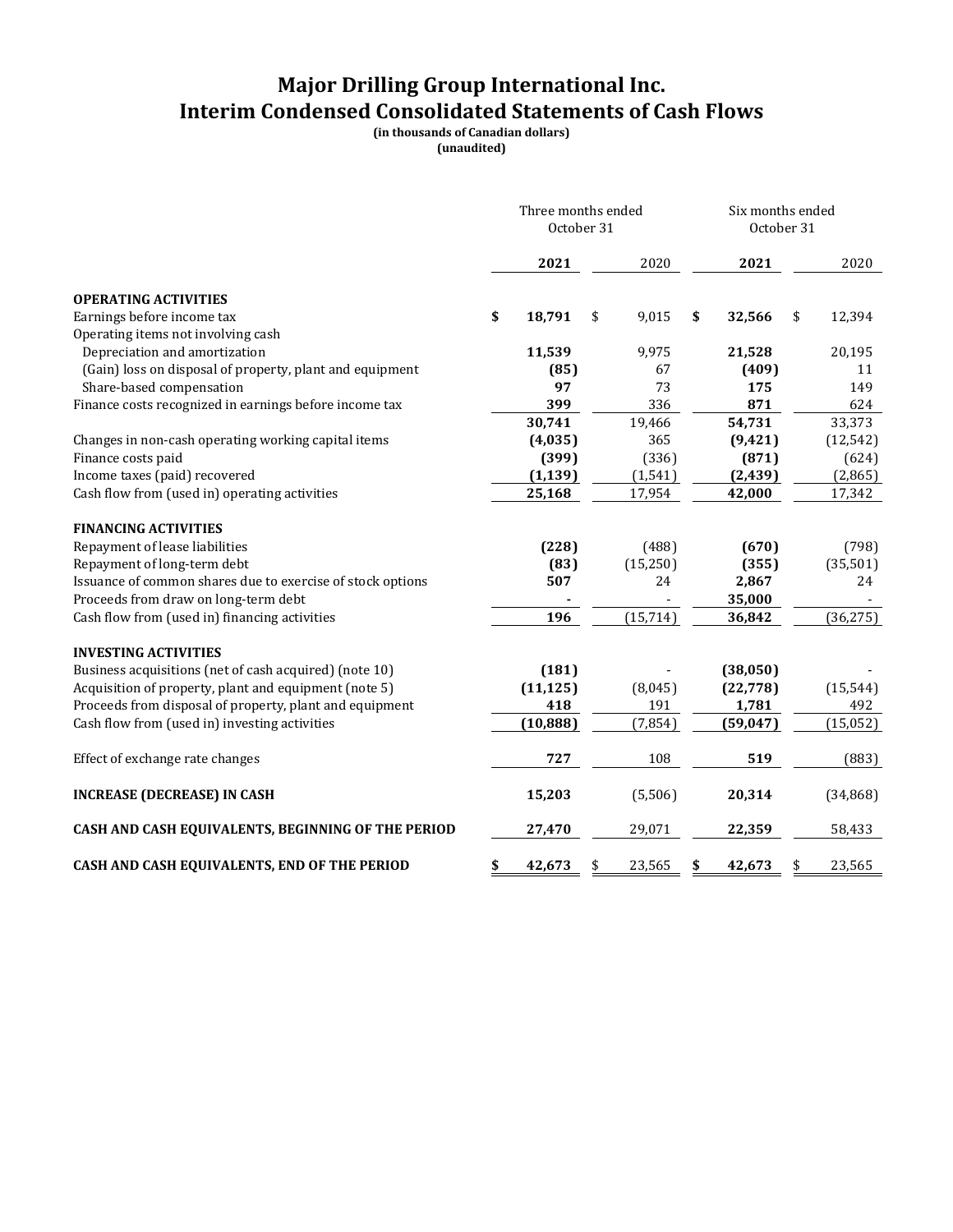# **Major Drilling Group International Inc. Interim Condensed Consolidated Statements of Cash Flows**

**(in thousands of Canadian dollars)**

**(unaudited)**

|                                                            | Three months ended<br>October 31 |           |    |           |    | Six months ended<br>October 31 |    |           |
|------------------------------------------------------------|----------------------------------|-----------|----|-----------|----|--------------------------------|----|-----------|
|                                                            |                                  | 2021      |    | 2020      |    | 2021                           |    | 2020      |
| <b>OPERATING ACTIVITIES</b>                                |                                  |           |    |           |    |                                |    |           |
| Earnings before income tax                                 | \$                               | 18,791    | \$ | 9,015     | \$ | 32,566                         | \$ | 12,394    |
| Operating items not involving cash                         |                                  |           |    |           |    |                                |    |           |
| Depreciation and amortization                              |                                  | 11,539    |    | 9,975     |    | 21,528                         |    | 20,195    |
| (Gain) loss on disposal of property, plant and equipment   |                                  | (85)      |    | 67        |    | (409)                          |    | 11        |
| Share-based compensation                                   |                                  | 97        |    | 73        |    | 175                            |    | 149       |
| Finance costs recognized in earnings before income tax     |                                  | 399       |    | 336       |    | 871                            |    | 624       |
|                                                            |                                  | 30,741    |    | 19,466    |    | 54,731                         |    | 33,373    |
| Changes in non-cash operating working capital items        |                                  | (4,035)   |    | 365       |    | (9, 421)                       |    | (12, 542) |
| Finance costs paid                                         |                                  | (399)     |    | (336)     |    | (871)                          |    | (624)     |
| Income taxes (paid) recovered                              |                                  | (1, 139)  |    | (1, 541)  |    | (2, 439)                       |    | (2, 865)  |
| Cash flow from (used in) operating activities              |                                  | 25,168    |    | 17,954    |    | 42,000                         |    | 17,342    |
| <b>FINANCING ACTIVITIES</b>                                |                                  |           |    |           |    |                                |    |           |
| Repayment of lease liabilities                             |                                  | (228)     |    | (488)     |    | (670)                          |    | (798)     |
| Repayment of long-term debt                                |                                  | (83)      |    | (15,250)  |    | (355)                          |    | (35,501)  |
| Issuance of common shares due to exercise of stock options |                                  | 507       |    | 24        |    | 2,867                          |    | 24        |
| Proceeds from draw on long-term debt                       |                                  |           |    |           |    | 35,000                         |    |           |
| Cash flow from (used in) financing activities              |                                  | 196       |    | (15, 714) |    | 36,842                         |    | (36, 275) |
| <b>INVESTING ACTIVITIES</b>                                |                                  |           |    |           |    |                                |    |           |
| Business acquisitions (net of cash acquired) (note 10)     |                                  | (181)     |    |           |    | (38,050)                       |    |           |
| Acquisition of property, plant and equipment (note 5)      |                                  | (11, 125) |    | (8,045)   |    | (22, 778)                      |    | (15, 544) |
| Proceeds from disposal of property, plant and equipment    |                                  | 418       |    | 191       |    | 1,781                          |    | 492       |
| Cash flow from (used in) investing activities              |                                  | (10, 888) |    | (7, 854)  |    | (59, 047)                      |    | (15, 052) |
|                                                            |                                  |           |    |           |    |                                |    |           |
| Effect of exchange rate changes                            |                                  | 727       |    | 108       |    | 519                            |    | (883)     |
| <b>INCREASE (DECREASE) IN CASH</b>                         |                                  | 15,203    |    | (5,506)   |    | 20,314                         |    | (34, 868) |
| CASH AND CASH EQUIVALENTS, BEGINNING OF THE PERIOD         |                                  | 27,470    |    | 29,071    |    | 22,359                         |    | 58,433    |
| CASH AND CASH EQUIVALENTS, END OF THE PERIOD               | \$                               | 42,673    | \$ | 23,565    | \$ | 42,673                         | \$ | 23,565    |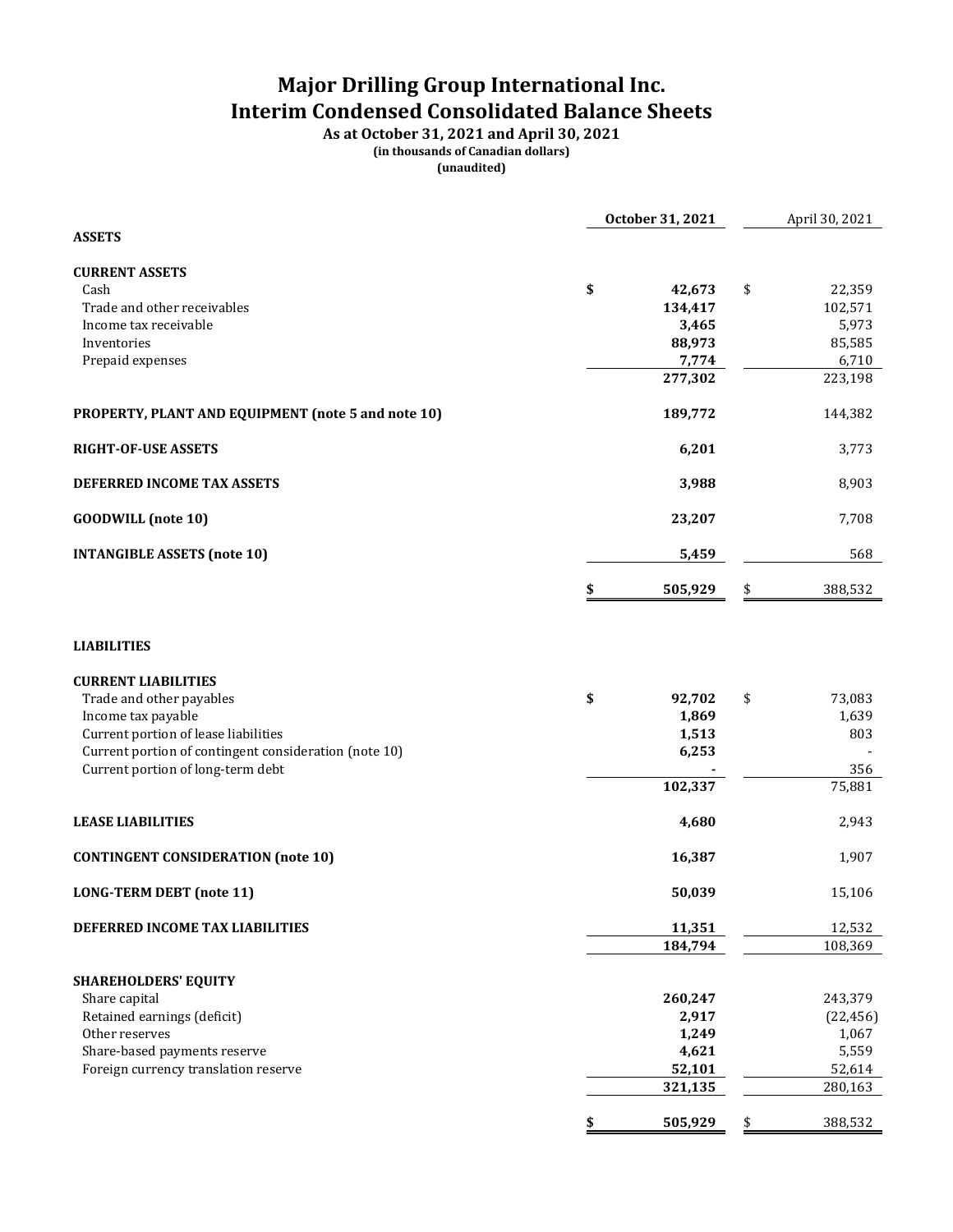# **Major Drilling Group International Inc. Interim Condensed Consolidated Balance Sheets**

**As at October 31, 2021 and April 30, 2021 (in thousands of Canadian dollars) (unaudited)**

|                                                       | October 31, 2021  | April 30, 2021    |
|-------------------------------------------------------|-------------------|-------------------|
| <b>ASSETS</b>                                         |                   |                   |
| <b>CURRENT ASSETS</b>                                 |                   |                   |
| Cash                                                  | \$<br>42,673      | \$<br>22,359      |
| Trade and other receivables<br>Income tax receivable  | 134,417<br>3,465  | 102,571<br>5,973  |
| Inventories                                           | 88,973            | 85,585            |
| Prepaid expenses                                      | 7,774             | 6,710             |
|                                                       | 277,302           | 223,198           |
| PROPERTY, PLANT AND EQUIPMENT (note 5 and note 10)    | 189,772           | 144,382           |
| <b>RIGHT-OF-USE ASSETS</b>                            | 6,201             | 3,773             |
| DEFERRED INCOME TAX ASSETS                            | 3,988             | 8,903             |
| <b>GOODWILL</b> (note 10)                             | 23,207            | 7,708             |
| <b>INTANGIBLE ASSETS (note 10)</b>                    | 5,459             | 568               |
|                                                       | \$<br>505,929     | \$<br>388,532     |
| <b>LIABILITIES</b>                                    |                   |                   |
| <b>CURRENT LIABILITIES</b>                            |                   |                   |
| Trade and other payables                              | \$<br>92,702      | \$<br>73,083      |
| Income tax payable                                    | 1,869             | 1,639             |
| Current portion of lease liabilities                  | 1,513             | 803               |
| Current portion of contingent consideration (note 10) | 6,253             |                   |
| Current portion of long-term debt                     | 102,337           | 356<br>75,881     |
|                                                       |                   |                   |
| <b>LEASE LIABILITIES</b>                              | 4,680             | 2,943             |
| <b>CONTINGENT CONSIDERATION (note 10)</b>             | 16,387            | 1,907             |
| <b>LONG-TERM DEBT (note 11)</b>                       | 50,039            | 15,106            |
| DEFERRED INCOME TAX LIABILITIES                       | 11,351            | 12,532            |
|                                                       | 184,794           | 108,369           |
| <b>SHAREHOLDERS' EQUITY</b>                           |                   |                   |
| Share capital                                         | 260,247           | 243,379           |
| Retained earnings (deficit)                           | 2,917             | (22, 456)         |
| Other reserves                                        | 1,249             | 1,067             |
| Share-based payments reserve                          | 4,621             | 5,559             |
| Foreign currency translation reserve                  | 52,101<br>321,135 | 52,614<br>280,163 |
|                                                       | 505,929<br>\$     | \$<br>388,532     |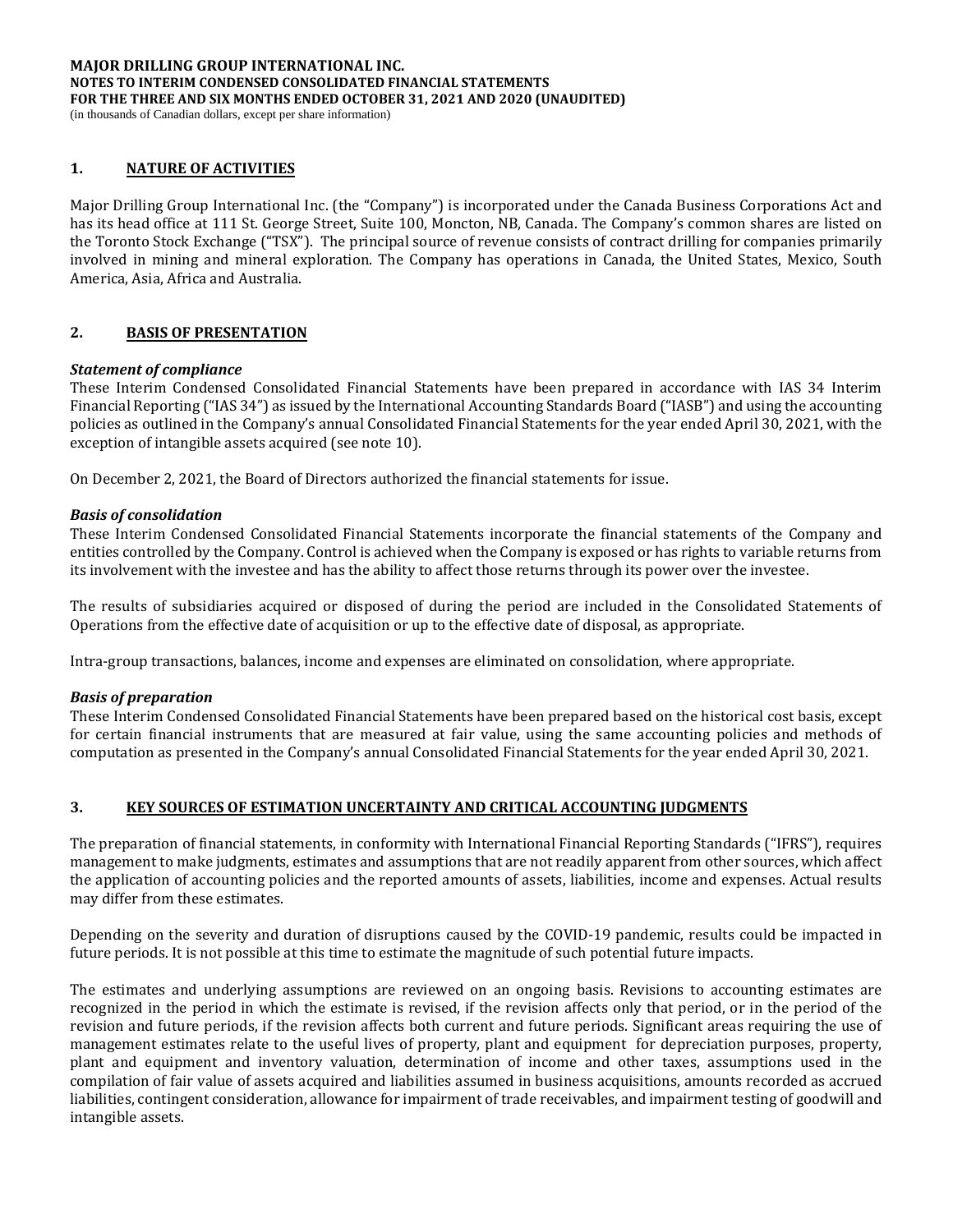#### **MAJOR DRILLING GROUP INTERNATIONAL INC. NOTES TO INTERIM CONDENSED CONSOLIDATED FINANCIAL STATEMENTS FOR THE THREE AND SIX MONTHS ENDED OCTOBER 31, 2021 AND 2020 (UNAUDITED)** (in thousands of Canadian dollars, except per share information)

### **1. NATURE OF ACTIVITIES**

Major Drilling Group International Inc. (the "Company") is incorporated under the Canada Business Corporations Act and has its head office at 111 St. George Street, Suite 100, Moncton, NB, Canada. The Company's common shares are listed on the Toronto Stock Exchange ("TSX"). The principal source of revenue consists of contract drilling for companies primarily involved in mining and mineral exploration. The Company has operations in Canada, the United States, Mexico, South America, Asia, Africa and Australia.

### **2. BASIS OF PRESENTATION**

### *Statement of compliance*

These Interim Condensed Consolidated Financial Statements have been prepared in accordance with IAS 34 Interim Financial Reporting ("IAS 34") as issued by the International Accounting Standards Board ("IASB") and using the accounting policies as outlined in the Company's annual Consolidated Financial Statements for the year ended April 30, 2021, with the exception of intangible assets acquired (see note 10).

On December 2, 2021, the Board of Directors authorized the financial statements for issue.

### *Basis of consolidation*

These Interim Condensed Consolidated Financial Statements incorporate the financial statements of the Company and entities controlled by the Company. Control is achieved when the Company is exposed or has rights to variable returns from its involvement with the investee and has the ability to affect those returns through its power over the investee.

The results of subsidiaries acquired or disposed of during the period are included in the Consolidated Statements of Operations from the effective date of acquisition or up to the effective date of disposal, as appropriate.

Intra-group transactions, balances, income and expenses are eliminated on consolidation, where appropriate.

### *Basis of preparation*

These Interim Condensed Consolidated Financial Statements have been prepared based on the historical cost basis, except for certain financial instruments that are measured at fair value, using the same accounting policies and methods of computation as presented in the Company's annual Consolidated Financial Statements for the year ended April 30, 2021.

### **3. KEY SOURCES OF ESTIMATION UNCERTAINTY AND CRITICAL ACCOUNTING JUDGMENTS**

The preparation of financial statements, in conformity with International Financial Reporting Standards ("IFRS"), requires management to make judgments, estimates and assumptions that are not readily apparent from other sources, which affect the application of accounting policies and the reported amounts of assets, liabilities, income and expenses. Actual results may differ from these estimates.

Depending on the severity and duration of disruptions caused by the COVID-19 pandemic, results could be impacted in future periods. It is not possible at this time to estimate the magnitude of such potential future impacts.

The estimates and underlying assumptions are reviewed on an ongoing basis. Revisions to accounting estimates are recognized in the period in which the estimate is revised, if the revision affects only that period, or in the period of the revision and future periods, if the revision affects both current and future periods. Significant areas requiring the use of management estimates relate to the useful lives of property, plant and equipment for depreciation purposes, property, plant and equipment and inventory valuation, determination of income and other taxes, assumptions used in the compilation of fair value of assets acquired and liabilities assumed in business acquisitions, amounts recorded as accrued liabilities, contingent consideration, allowance for impairment of trade receivables, and impairment testing of goodwill and intangible assets.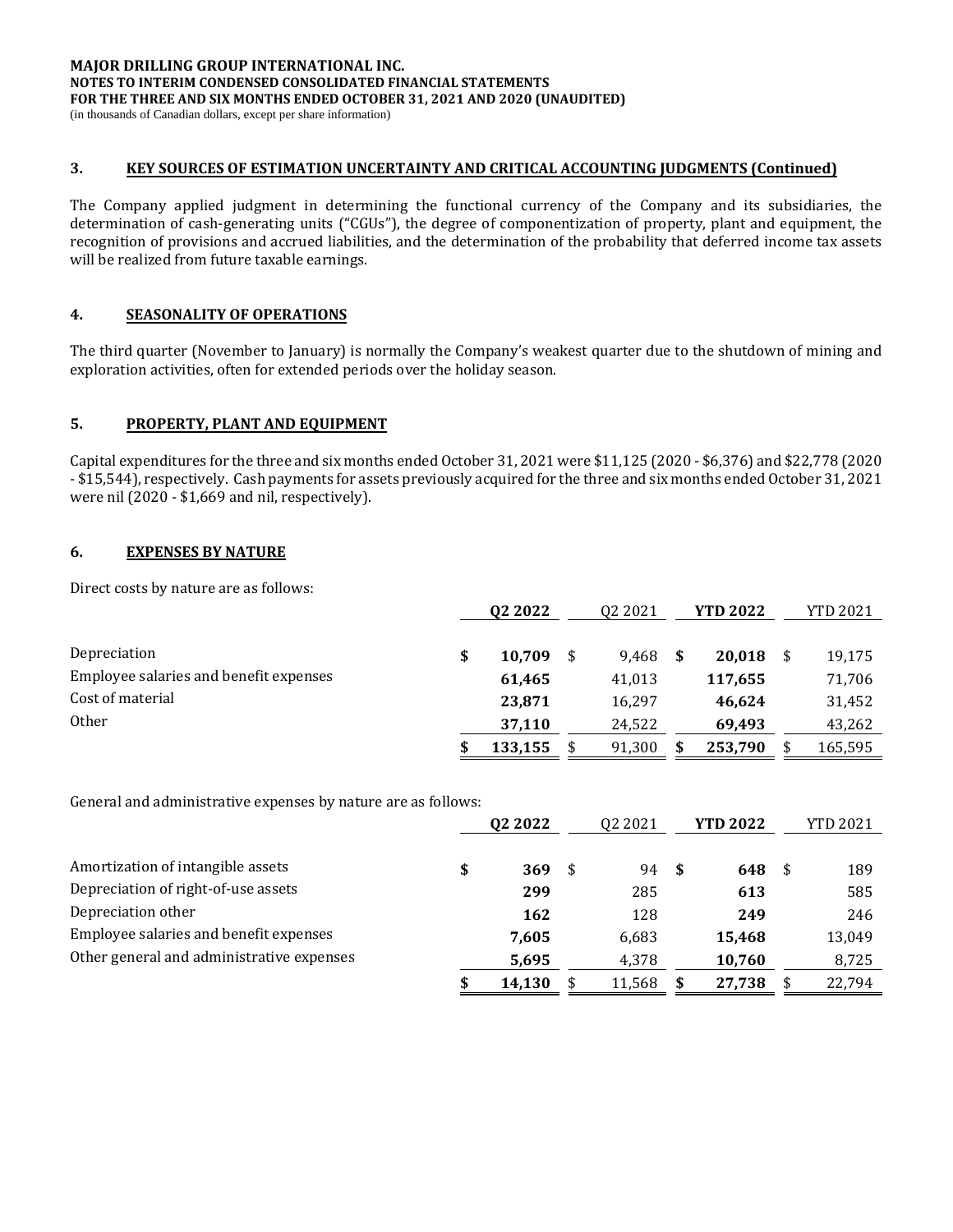(in thousands of Canadian dollars, except per share information)

### **3. KEY SOURCES OF ESTIMATION UNCERTAINTY AND CRITICAL ACCOUNTING JUDGMENTS (Continued)**

The Company applied judgment in determining the functional currency of the Company and its subsidiaries, the determination of cash-generating units ("CGUs"), the degree of componentization of property, plant and equipment, the recognition of provisions and accrued liabilities, and the determination of the probability that deferred income tax assets will be realized from future taxable earnings.

### **4. SEASONALITY OF OPERATIONS**

The third quarter (November to January) is normally the Company's weakest quarter due to the shutdown of mining and exploration activities, often for extended periods over the holiday season.

# **5. PROPERTY, PLANT AND EQUIPMENT**

Capital expenditures for the three and six months ended October 31, 2021 were \$11,125 (2020 - \$6,376) and \$22,778 (2020 - \$15,544), respectively. Cash payments for assets previously acquired for the three and six months ended October 31, 2021 were nil (2020 - \$1,669 and nil, respectively).

# **6. EXPENSES BY NATURE**

Direct costs by nature are as follows:

|                                        | Q <sub>2</sub> 20 <sub>22</sub> |         | 02 2021 |        |    | <b>YTD 2022</b> |    | <b>YTD 2021</b> |  |
|----------------------------------------|---------------------------------|---------|---------|--------|----|-----------------|----|-----------------|--|
|                                        |                                 |         |         |        |    |                 |    |                 |  |
| Depreciation                           | \$                              | 10.709  | \$      | 9.468  | -S | 20,018          |    | 19,175          |  |
| Employee salaries and benefit expenses |                                 | 61,465  |         | 41.013 |    | 117,655         |    | 71,706          |  |
| Cost of material                       |                                 | 23,871  |         | 16.297 |    | 46.624          |    | 31,452          |  |
| <b>Other</b>                           |                                 | 37,110  |         | 24,522 |    | 69.493          |    | 43,262          |  |
|                                        |                                 | 133,155 |         | 91,300 | \$ | 253,790         | \$ | 165,595         |  |

General and administrative expenses by nature are as follows:

|                                           | 02 2022      |      | 02 2021 |  | YTD 2022 |   | <b>YTD 2021</b> |  |
|-------------------------------------------|--------------|------|---------|--|----------|---|-----------------|--|
|                                           |              |      |         |  |          |   |                 |  |
| Amortization of intangible assets         | \$<br>369    | - \$ | 94 \$   |  | 648      | S | 189             |  |
| Depreciation of right-of-use assets       | 299          |      | 285     |  | 613      |   | 585             |  |
| Depreciation other                        | 162          |      | 128     |  | 249      |   | 246             |  |
| Employee salaries and benefit expenses    | 7,605        |      | 6,683   |  | 15,468   |   | 13,049          |  |
| Other general and administrative expenses | 5,695        |      | 4,378   |  | 10,760   |   | 8,725           |  |
|                                           | \$<br>14,130 |      | 11,568  |  | 27,738   |   | 22.794          |  |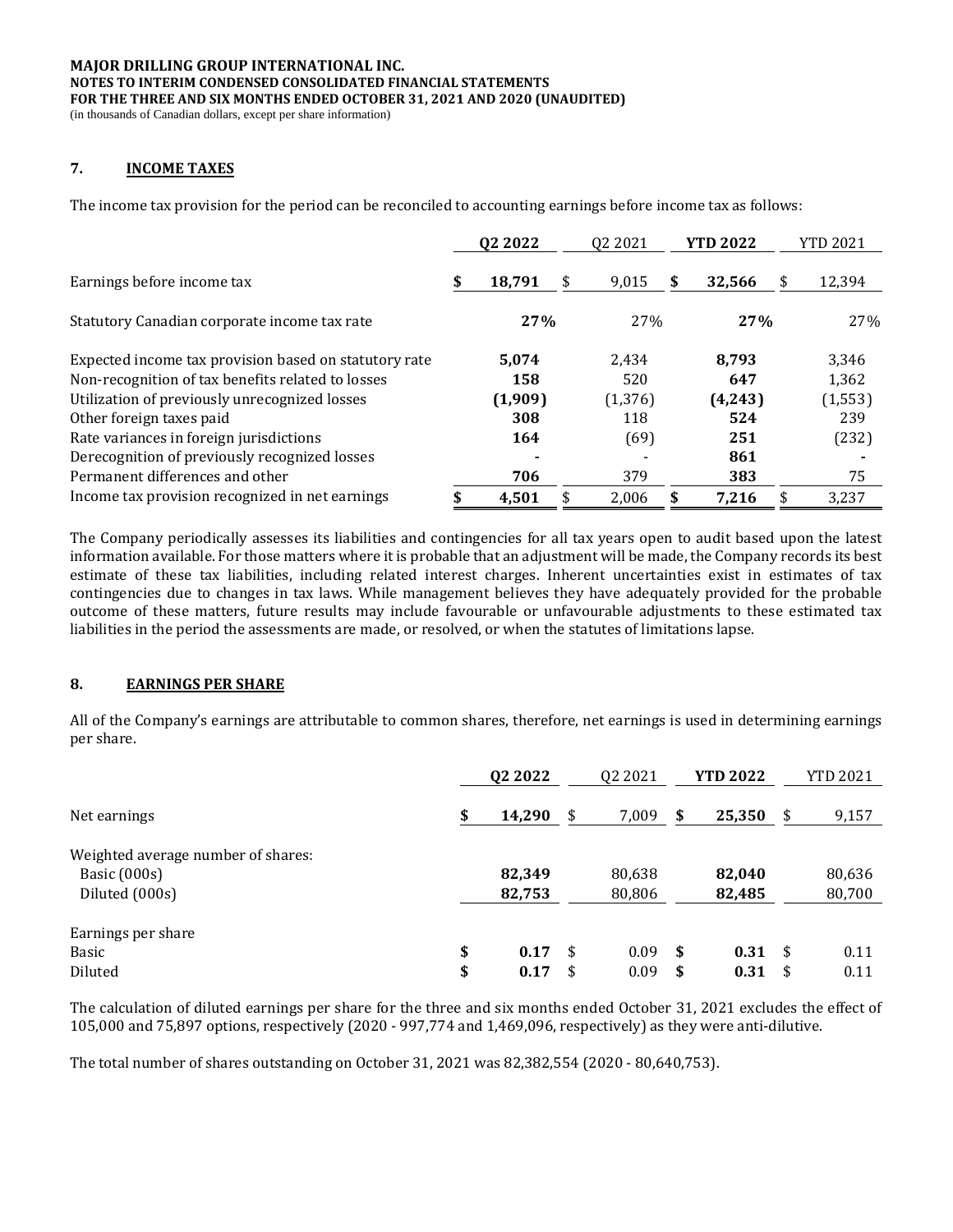(in thousands of Canadian dollars, except per share information)

### **7. INCOME TAXES**

The income tax provision for the period can be reconciled to accounting earnings before income tax as follows:

|                                                       | Q <sub>2</sub> 20 <sub>22</sub> |    | 02 20 21 |   | <b>YTD 2022</b> | YTD 2021 |          |  |
|-------------------------------------------------------|---------------------------------|----|----------|---|-----------------|----------|----------|--|
| Earnings before income tax                            | 18,791                          | \$ | 9.015    | S | 32,566          | \$       | 12,394   |  |
| Statutory Canadian corporate income tax rate          | 27%                             |    | 27%      |   | 27%             |          | 27%      |  |
| Expected income tax provision based on statutory rate | 5.074                           |    | 2.434    |   | 8.793           |          | 3,346    |  |
| Non-recognition of tax benefits related to losses     | 158                             |    | 520      |   | 647             |          | 1,362    |  |
| Utilization of previously unrecognized losses         | (1,909)                         |    | (1, 376) |   | (4,243)         |          | (1, 553) |  |
| Other foreign taxes paid                              | 308                             |    | 118      |   | 524             |          | 239      |  |
| Rate variances in foreign jurisdictions               | 164                             |    | (69)     |   | 251             |          | (232)    |  |
| Derecognition of previously recognized losses         |                                 |    |          |   | 861             |          |          |  |
| Permanent differences and other                       | 706                             |    | 379      |   | 383             |          | 75       |  |
| Income tax provision recognized in net earnings       | 4,501                           | \$ | 2.006    | S | 7.216           | \$       | 3.237    |  |

The Company periodically assesses its liabilities and contingencies for all tax years open to audit based upon the latest information available. For those matters where it is probable that an adjustment will be made, the Company records its best estimate of these tax liabilities, including related interest charges. Inherent uncertainties exist in estimates of tax contingencies due to changes in tax laws. While management believes they have adequately provided for the probable outcome of these matters, future results may include favourable or unfavourable adjustments to these estimated tax liabilities in the period the assessments are made, or resolved, or when the statutes of limitations lapse.

# **8. EARNINGS PER SHARE**

All of the Company's earnings are attributable to common shares, therefore, net earnings is used in determining earnings per share.

|                                                                      | Q <sub>2</sub> 20 <sub>22</sub> | Q <sub>2</sub> 20 <sub>21</sub> |     | <b>YTD 2022</b>  |     | <b>YTD 2021</b>  |
|----------------------------------------------------------------------|---------------------------------|---------------------------------|-----|------------------|-----|------------------|
|                                                                      |                                 |                                 |     |                  |     |                  |
| Net earnings                                                         | \$<br>14,290                    | \$<br>7,009                     | \$  | 25,350           | \$  | 9,157            |
| Weighted average number of shares:<br>Basic (000s)<br>Diluted (000s) | 82,349<br>82,753                | 80,638<br>80,806                |     | 82,040<br>82,485 |     | 80,636<br>80,700 |
| Earnings per share                                                   |                                 |                                 |     |                  |     |                  |
| Basic                                                                | \$<br>0.17                      | \$<br>0.09                      | -\$ | 0.31             | -\$ | 0.11             |
| Diluted                                                              | \$<br>0.17                      | \$<br>0.09                      | \$  | 0.31             | \$  | 0.11             |

The calculation of diluted earnings per share for the three and six months ended October 31, 2021 excludes the effect of 105,000 and 75,897 options, respectively (2020 - 997,774 and 1,469,096, respectively) as they were anti-dilutive.

The total number of shares outstanding on October 31, 2021 was 82,382,554 (2020 - 80,640,753).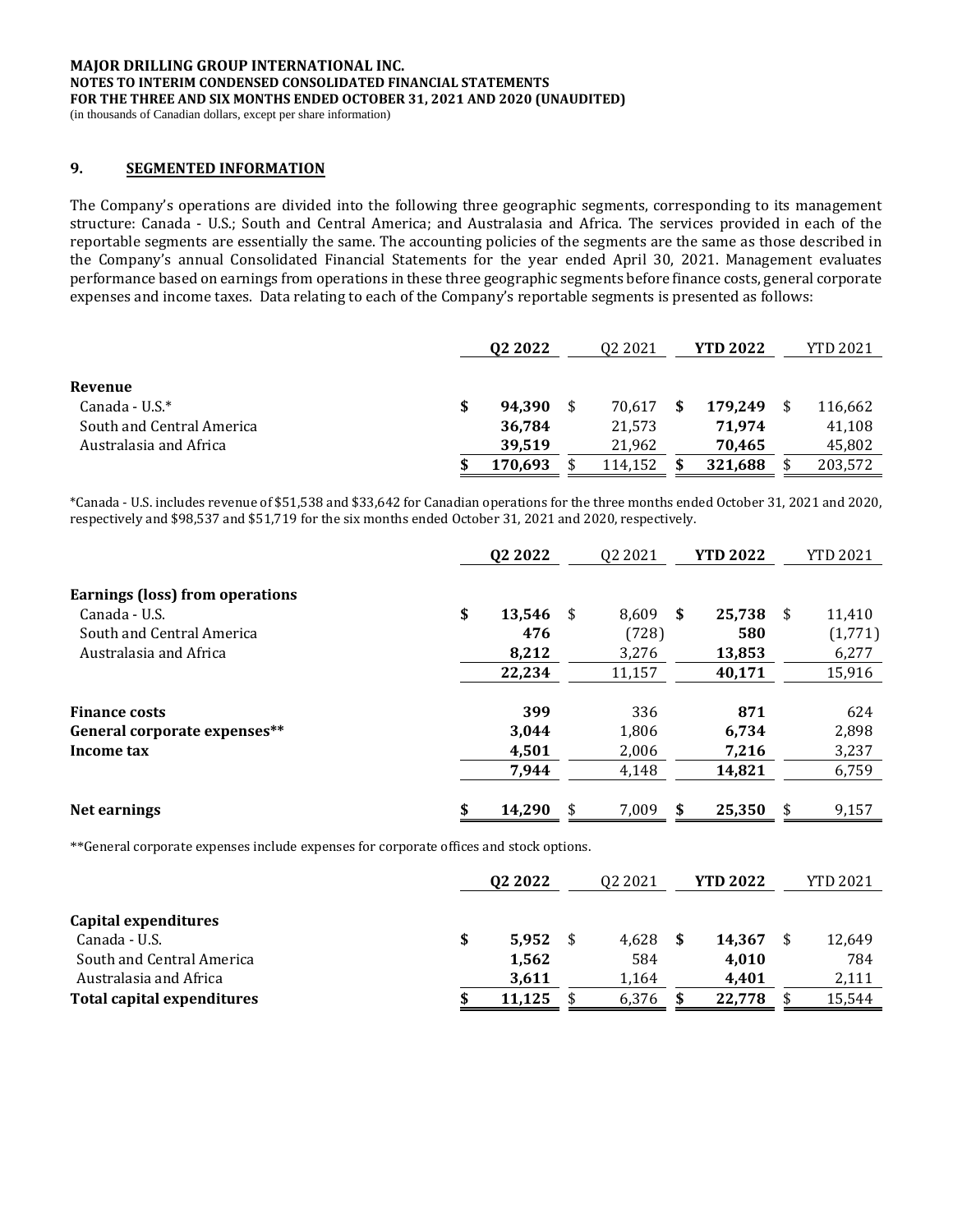(in thousands of Canadian dollars, except per share information)

### **9. SEGMENTED INFORMATION**

The Company's operations are divided into the following three geographic segments, corresponding to its management structure: Canada - U.S.; South and Central America; and Australasia and Africa. The services provided in each of the reportable segments are essentially the same. The accounting policies of the segments are the same as those described in the Company's annual Consolidated Financial Statements for the year ended April 30, 2021. Management evaluates performance based on earnings from operations in these three geographic segments before finance costs, general corporate expenses and income taxes. Data relating to each of the Company's reportable segments is presented as follows:

|                           | 02 2022      | 02 2021 | <b>YTD 2022</b> | <b>YTD 2021</b> |
|---------------------------|--------------|---------|-----------------|-----------------|
|                           |              |         |                 |                 |
| Revenue                   |              |         |                 |                 |
| Canada - U.S. $*$         | \$<br>94.390 | 70.617  | 179.249         | 116,662         |
| South and Central America | 36,784       | 21,573  | 71.974          | 41,108          |
| Australasia and Africa    | 39.519       | 21.962  | 70.465          | 45,802          |
|                           | 170,693      | 114,152 | 321,688         | 203,572         |

\*Canada - U.S. includes revenue of \$51,538 and \$33,642 for Canadian operations for the three months ended October 31, 2021 and 2020, respectively and \$98,537 and \$51,719 for the six months ended October 31, 2021 and 2020, respectively.

| Q <sub>2</sub> 20 <sub>22</sub> |     | 02 2021 |    | <b>YTD 2022</b> |     | <b>YTD 2021</b> |
|---------------------------------|-----|---------|----|-----------------|-----|-----------------|
|                                 |     |         |    |                 |     |                 |
| \$<br>13,546                    | -\$ | 8.609   | S  | 25,738          | \$. | 11,410          |
| 476                             |     | (728)   |    | 580             |     | (1,771)         |
| 8,212                           |     | 3,276   |    | 13,853          |     | 6,277           |
| 22,234                          |     | 11,157  |    | 40,171          |     | 15,916          |
| 399                             |     | 336     |    | 871             |     | 624             |
| 3,044                           |     | 1,806   |    | 6,734           |     | 2,898           |
| 4.501                           |     | 2.006   |    | 7,216           |     | 3,237           |
| 7,944                           |     | 4,148   |    | 14,821          |     | 6,759           |
| \$<br>14,290                    | S   | 7,009   | \$ | 25,350          | \$. | 9,157           |
|                                 |     |         |    |                 |     |                 |

\*\*General corporate expenses include expenses for corporate offices and stock options.

| Q <sub>2</sub> 20 <sub>22</sub> | 02 2021     | <b>YTD 2022</b> | <b>YTD 2021</b> |
|---------------------------------|-------------|-----------------|-----------------|
|                                 |             |                 |                 |
|                                 |             |                 |                 |
| \$<br>5.952                     | \$<br>4.628 | 14,367          | 12,649          |
| 1,562                           | 584         | 4.010           | 784             |
| 3,611                           | 1,164       | 4,401           | 2,111           |
| 11,125                          | 6,376       | 22,778          | 15,544          |
|                                 |             |                 |                 |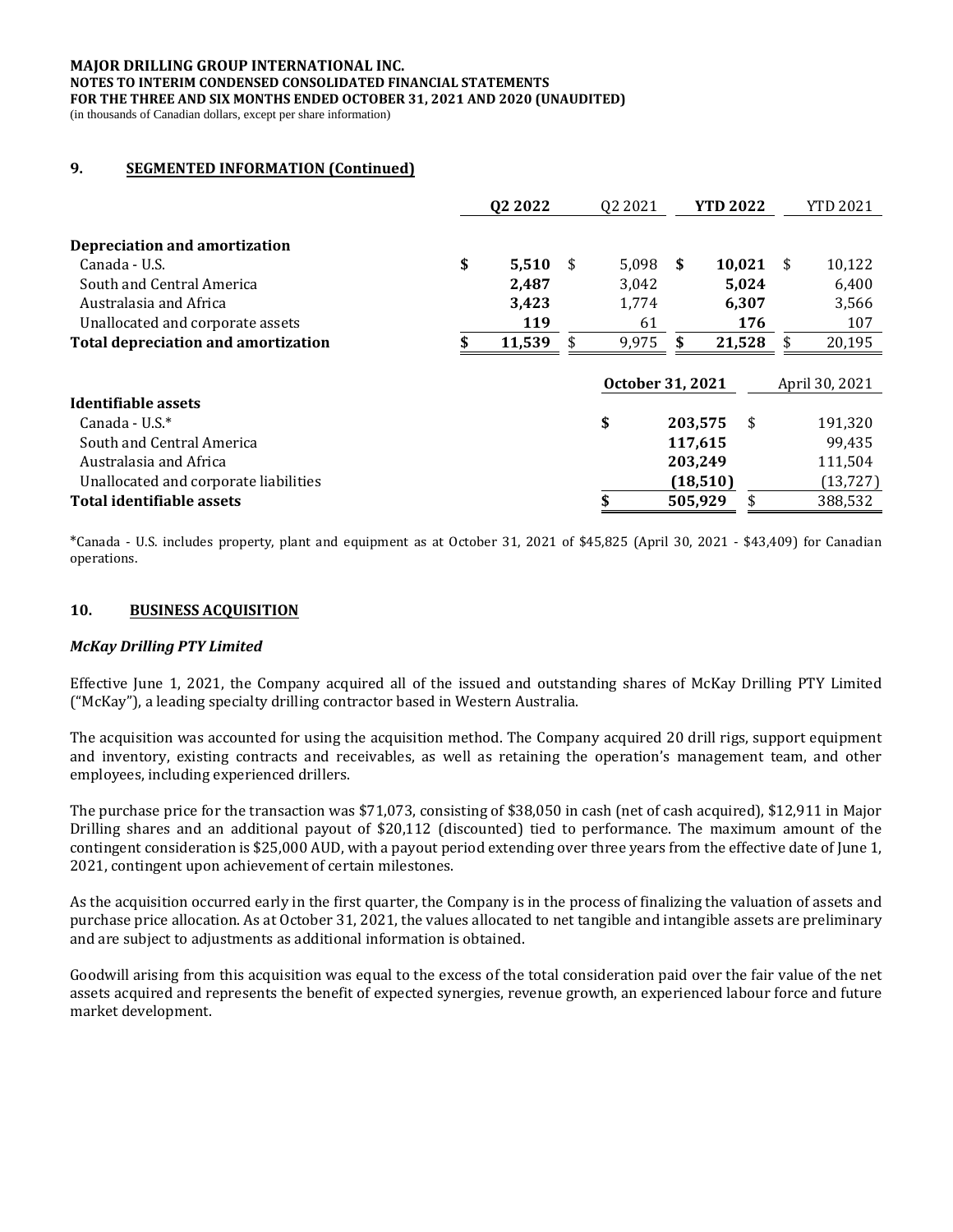#### **MAJOR DRILLING GROUP INTERNATIONAL INC. NOTES TO INTERIM CONDENSED CONSOLIDATED FINANCIAL STATEMENTS FOR THE THREE AND SIX MONTHS ENDED OCTOBER 31, 2021 AND 2020 (UNAUDITED)** (in thousands of Canadian dollars, except per share information)

## **9. SEGMENTED INFORMATION (Continued)**

|                                            | Q2 2022      | 02 2021          |               | <b>YTD 2022</b> | YTD 2021       |
|--------------------------------------------|--------------|------------------|---------------|-----------------|----------------|
| <b>Depreciation and amortization</b>       |              |                  |               |                 |                |
| Canada - U.S.                              | \$<br>5,510  | \$<br>5.098      | <sup>\$</sup> | 10,021          | \$<br>10,122   |
| South and Central America                  | 2,487        | 3,042            |               | 5,024           | 6,400          |
| Australasia and Africa                     | 3,423        | 1,774            |               | 6,307           | 3,566          |
| Unallocated and corporate assets           | 119          | 61               |               | 176             | 107            |
| <b>Total depreciation and amortization</b> | \$<br>11,539 | \$<br>9,975      | \$            | 21,528          | \$<br>20,195   |
|                                            |              | October 31, 2021 |               |                 | April 30, 2021 |
| Identifiable assets                        |              |                  |               |                 |                |
| Canada - U.S. $*$                          |              | \$               |               | \$<br>203,575   | 191,320        |
| South and Central America                  |              |                  |               | 117,615         | 99,435         |
| Australasia and Africa                     |              |                  |               | 203,249         | 111,504        |
| Unallocated and corporate liabilities      |              |                  |               | (18, 510)       | (13, 727)      |
| Total identifiable assets                  |              |                  |               | 505,929         | 388,532        |

\*Canada - U.S. includes property, plant and equipment as at October 31, 2021 of \$45,825 (April 30, 2021 - \$43,409) for Canadian operations.

### **10. BUSINESS ACQUISITION**

### *McKay Drilling PTY Limited*

Effective June 1, 2021, the Company acquired all of the issued and outstanding shares of McKay Drilling PTY Limited ("McKay"), a leading specialty drilling contractor based in Western Australia.

The acquisition was accounted for using the acquisition method. The Company acquired 20 drill rigs, support equipment and inventory, existing contracts and receivables, as well as retaining the operation's management team, and other employees, including experienced drillers.

The purchase price for the transaction was \$71,073, consisting of \$38,050 in cash (net of cash acquired), \$12,911 in Major Drilling shares and an additional payout of \$20,112 (discounted) tied to performance. The maximum amount of the contingent consideration is \$25,000 AUD, with a payout period extending over three years from the effective date of June 1, 2021, contingent upon achievement of certain milestones.

As the acquisition occurred early in the first quarter, the Company is in the process of finalizing the valuation of assets and purchase price allocation. As at October 31, 2021, the values allocated to net tangible and intangible assets are preliminary and are subject to adjustments as additional information is obtained.

Goodwill arising from this acquisition was equal to the excess of the total consideration paid over the fair value of the net assets acquired and represents the benefit of expected synergies, revenue growth, an experienced labour force and future market development.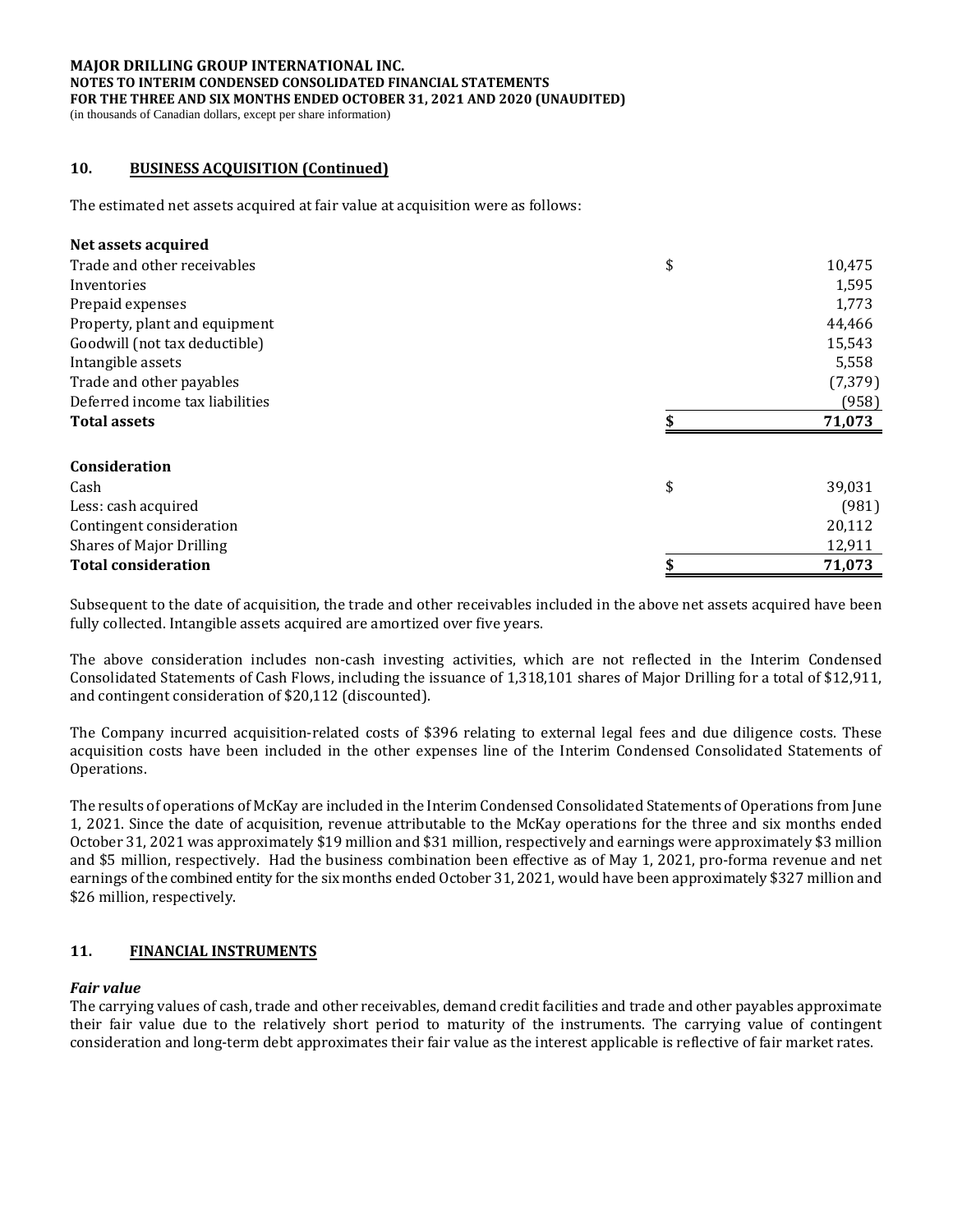#### **MAJOR DRILLING GROUP INTERNATIONAL INC. NOTES TO INTERIM CONDENSED CONSOLIDATED FINANCIAL STATEMENTS FOR THE THREE AND SIX MONTHS ENDED OCTOBER 31, 2021 AND 2020 (UNAUDITED)** (in thousands of Canadian dollars, except per share information)

## **10. BUSINESS ACQUISITION (Continued)**

The estimated net assets acquired at fair value at acquisition were as follows:

### **Net assets acquired**

| Trade and other receivables     | \$<br>10,475 |
|---------------------------------|--------------|
| Inventories                     | 1,595        |
| Prepaid expenses                | 1,773        |
| Property, plant and equipment   | 44,466       |
| Goodwill (not tax deductible)   | 15,543       |
| Intangible assets               | 5,558        |
| Trade and other payables        | (7, 379)     |
| Deferred income tax liabilities | (958)        |
| <b>Total assets</b>             | 71,073       |
| Consideration                   |              |
| Cash                            | \$<br>39,031 |
| Less: cash acquired             | (981)        |
| Contingent consideration        | 20,112       |
| <b>Shares of Major Drilling</b> | 12,911       |
| <b>Total consideration</b>      | 71,073       |

Subsequent to the date of acquisition, the trade and other receivables included in the above net assets acquired have been fully collected. Intangible assets acquired are amortized over five years.

The above consideration includes non-cash investing activities, which are not reflected in the Interim Condensed Consolidated Statements of Cash Flows, including the issuance of 1,318,101 shares of Major Drilling for a total of \$12,911, and contingent consideration of \$20,112 (discounted).

The Company incurred acquisition-related costs of \$396 relating to external legal fees and due diligence costs. These acquisition costs have been included in the other expenses line of the Interim Condensed Consolidated Statements of Operations.

The results of operations of McKay are included in the Interim Condensed Consolidated Statements of Operations from June 1, 2021. Since the date of acquisition, revenue attributable to the McKay operations for the three and six months ended October 31, 2021 was approximately \$19 million and \$31 million, respectively and earnings were approximately \$3 million and \$5 million, respectively. Had the business combination been effective as of May 1, 2021, pro-forma revenue and net earnings of the combined entity for the six months ended October 31, 2021, would have been approximately \$327 million and \$26 million, respectively.

### **11. FINANCIAL INSTRUMENTS**

### *Fair value*

The carrying values of cash, trade and other receivables, demand credit facilities and trade and other payables approximate their fair value due to the relatively short period to maturity of the instruments. The carrying value of contingent consideration and long-term debt approximates their fair value as the interest applicable is reflective of fair market rates.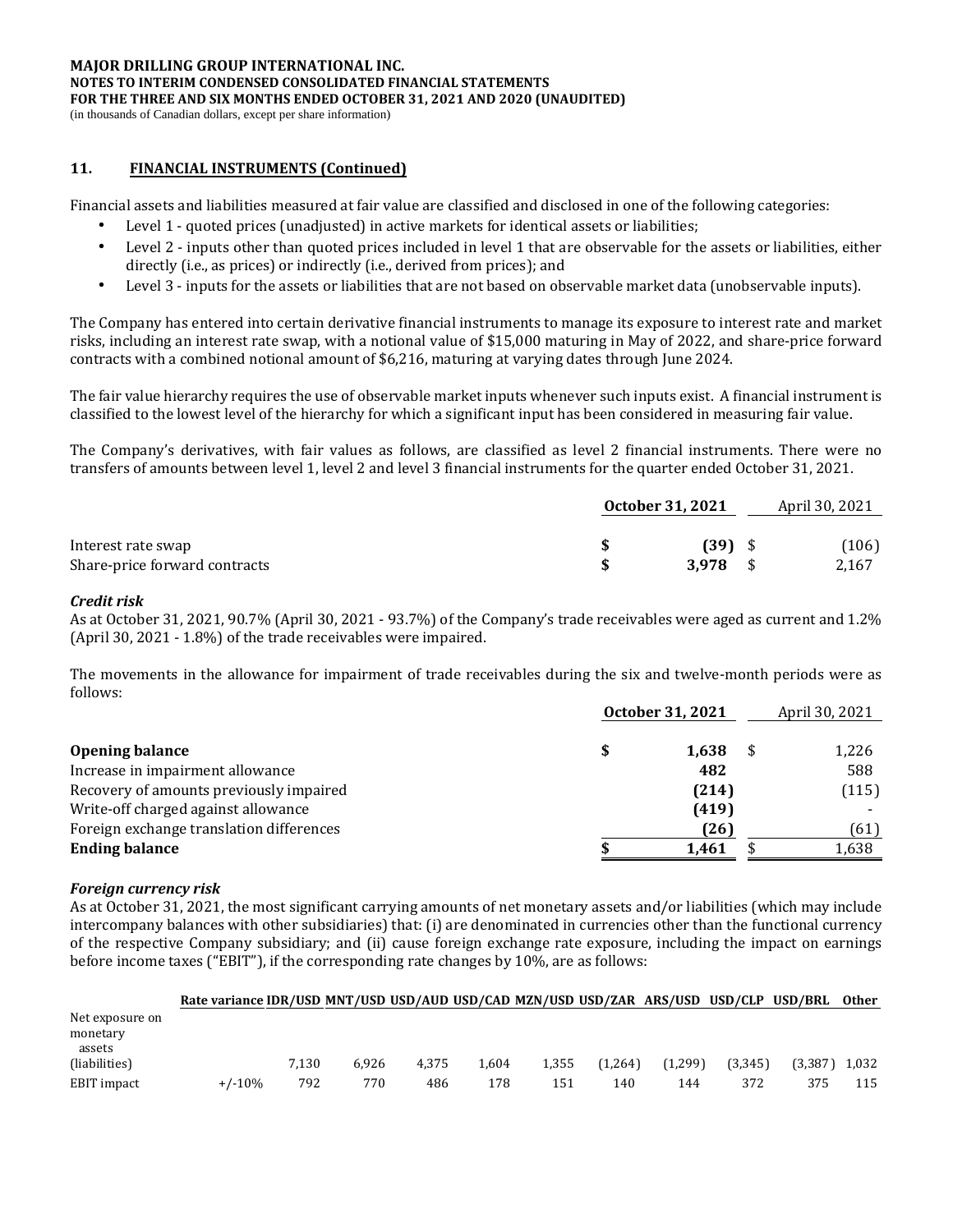(in thousands of Canadian dollars, except per share information)

### **11. FINANCIAL INSTRUMENTS (Continued)**

Financial assets and liabilities measured at fair value are classified and disclosed in one of the following categories:

- Level 1 quoted prices (unadjusted) in active markets for identical assets or liabilities;
- Level 2 inputs other than quoted prices included in level 1 that are observable for the assets or liabilities, either directly (i.e., as prices) or indirectly (i.e., derived from prices); and
- Level 3 inputs for the assets or liabilities that are not based on observable market data (unobservable inputs).

The Company has entered into certain derivative financial instruments to manage its exposure to interest rate and market risks, including an interest rate swap, with a notional value of \$15,000 maturing in May of 2022, and share-price forward contracts with a combined notional amount of \$6,216, maturing at varying dates through June 2024.

The fair value hierarchy requires the use of observable market inputs whenever such inputs exist. A financial instrument is classified to the lowest level of the hierarchy for which a significant input has been considered in measuring fair value.

The Company's derivatives, with fair values as follows, are classified as level 2 financial instruments. There were no transfers of amounts between level 1, level 2 and level 3 financial instruments for the quarter ended October 31, 2021.

|                               | October 31, 2021 |  |       |
|-------------------------------|------------------|--|-------|
| Interest rate swap            | $(39)$ \$        |  | (106) |
| Share-price forward contracts | 3.978            |  | 2,167 |

### *Credit risk*

As at October 31, 2021, 90.7% (April 30, 2021 - 93.7%) of the Company's trade receivables were aged as current and 1.2% (April 30, 2021 - 1.8%) of the trade receivables were impaired.

The movements in the allowance for impairment of trade receivables during the six and twelve-month periods were as follows:

|                                          | October 31, 2021 | April 30, 2021 |
|------------------------------------------|------------------|----------------|
|                                          |                  |                |
| <b>Opening balance</b>                   | 1.638            | 1,226          |
| Increase in impairment allowance         | 482              | 588            |
| Recovery of amounts previously impaired  | (214)            | (115)          |
| Write-off charged against allowance      | (419)            |                |
| Foreign exchange translation differences | (26)             | (61)           |
| <b>Ending balance</b>                    | 1.461            | 1,638          |

### *Foreign currency risk*

As at October 31, 2021, the most significant carrying amounts of net monetary assets and/or liabilities (which may include intercompany balances with other subsidiaries) that: (i) are denominated in currencies other than the functional currency of the respective Company subsidiary; and (ii) cause foreign exchange rate exposure, including the impact on earnings before income taxes ("EBIT"), if the corresponding rate changes by 10%, are as follows:

|                 | Rate variance IDR/USD MNT/USD USD/AUD USD/CAD MZN/USD USD/ZAR ARS/USD USD/CLP USD/BRL |       |       |       |       |       |         |         |         |         | Other |
|-----------------|---------------------------------------------------------------------------------------|-------|-------|-------|-------|-------|---------|---------|---------|---------|-------|
| Net exposure on |                                                                                       |       |       |       |       |       |         |         |         |         |       |
| monetary        |                                                                                       |       |       |       |       |       |         |         |         |         |       |
| assets          |                                                                                       |       |       |       |       |       |         |         |         |         |       |
| (liabilities)   |                                                                                       | 7.130 | 6.926 | 4.375 | 1.604 | 1,355 | (1.264) | (1,299) | (3.345) | (3.387) | 1.032 |
| EBIT impact     | $+/-10%$                                                                              | 792   | 770   | 486   | 178   | 151   | 140     | 144     | 372     | 375     | 115   |